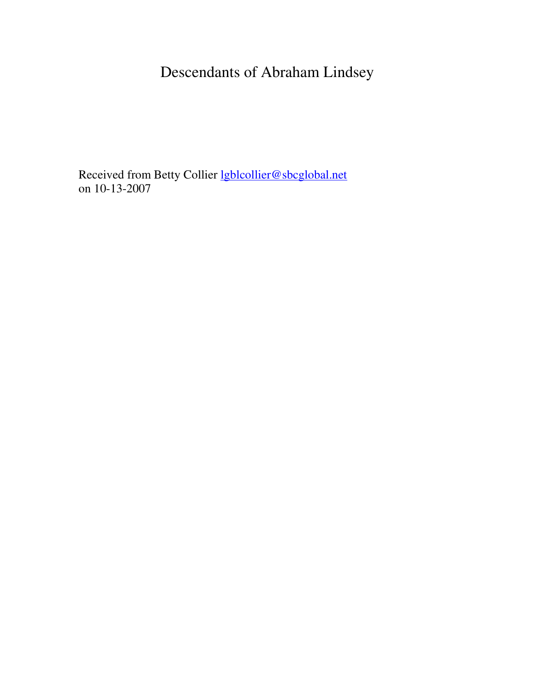# Descendants of Abraham Lindsey

Received from Betty Collier lgblcollier@sbcglobal.net on 10-13-2007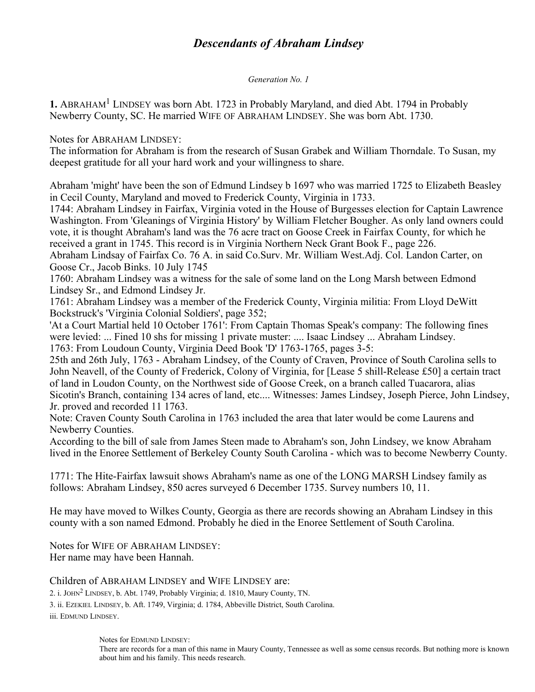# *Descendants of Abraham Lindsey*

*Generation No. 1*

1. ABRAHAM<sup>1</sup> LINDSEY was born Abt. 1723 in Probably Maryland, and died Abt. 1794 in Probably Newberry County, SC. He married WIFE OF ABRAHAM LINDSEY. She was born Abt. 1730.

Notes for ABRAHAM LINDSEY:

The information for Abraham is from the research of Susan Grabek and William Thorndale. To Susan, my deepest gratitude for all your hard work and your willingness to share.

Abraham 'might' have been the son of Edmund Lindsey b 1697 who was married 1725 to Elizabeth Beasley in Cecil County, Maryland and moved to Frederick County, Virginia in 1733.

1744: Abraham Lindsey in Fairfax, Virginia voted in the House of Burgesses election for Captain Lawrence Washington. From 'Gleanings of Virginia History' by William Fletcher Bougher. As only land owners could vote, it is thought Abraham's land was the 76 acre tract on Goose Creek in Fairfax County, for which he received a grant in 1745. This record is in Virginia Northern Neck Grant Book F., page 226.

Abraham Lindsay of Fairfax Co. 76 A. in said Co.Surv. Mr. William West.Adj. Col. Landon Carter, on Goose Cr., Jacob Binks. 10 July 1745

1760: Abraham Lindsey was a witness for the sale of some land on the Long Marsh between Edmond Lindsey Sr., and Edmond Lindsey Jr.

1761: Abraham Lindsey was a member of the Frederick County, Virginia militia: From Lloyd DeWitt Bockstruck's 'Virginia Colonial Soldiers', page 352;

'At a Court Martial held 10 October 1761': From Captain Thomas Speak's company: The following fines were levied: ... Fined 10 shs for missing 1 private muster: .... Isaac Lindsey ... Abraham Lindsey. 1763: From Loudoun County, Virginia Deed Book 'D' 1763-1765, pages 3-5:

25th and 26th July, 1763 - Abraham Lindsey, of the County of Craven, Province of South Carolina sells to John Neavell, of the County of Frederick, Colony of Virginia, for [Lease 5 shill-Release £50] a certain tract of land in Loudon County, on the Northwest side of Goose Creek, on a branch called Tuacarora, alias Sicotin's Branch, containing 134 acres of land, etc.... Witnesses: James Lindsey, Joseph Pierce, John Lindsey, Jr. proved and recorded 11 1763.

Note: Craven County South Carolina in 1763 included the area that later would be come Laurens and Newberry Counties.

According to the bill of sale from James Steen made to Abraham's son, John Lindsey, we know Abraham lived in the Enoree Settlement of Berkeley County South Carolina - which was to become Newberry County.

1771: The Hite-Fairfax lawsuit shows Abraham's name as one of the LONG MARSH Lindsey family as follows: Abraham Lindsey, 850 acres surveyed 6 December 1735. Survey numbers 10, 11.

He may have moved to Wilkes County, Georgia as there are records showing an Abraham Lindsey in this county with a son named Edmond. Probably he died in the Enoree Settlement of South Carolina.

Notes for WIFE OF ABRAHAM LINDSEY: Her name may have been Hannah.

#### Children of ABRAHAM LINDSEY and WIFE LINDSEY are:

2. i. JOHN<sup>2</sup> LINDSEY, b. Abt. 1749, Probably Virginia; d. 1810, Maury County, TN.

3. ii. EZEKIEL LINDSEY, b. Aft. 1749, Virginia; d. 1784, Abbeville District, South Carolina.

iii. EDMUND LINDSEY.

Notes for EDMUND LINDSEY:

There are records for a man of this name in Maury County, Tennessee as well as some census records. But nothing more is known about him and his family. This needs research.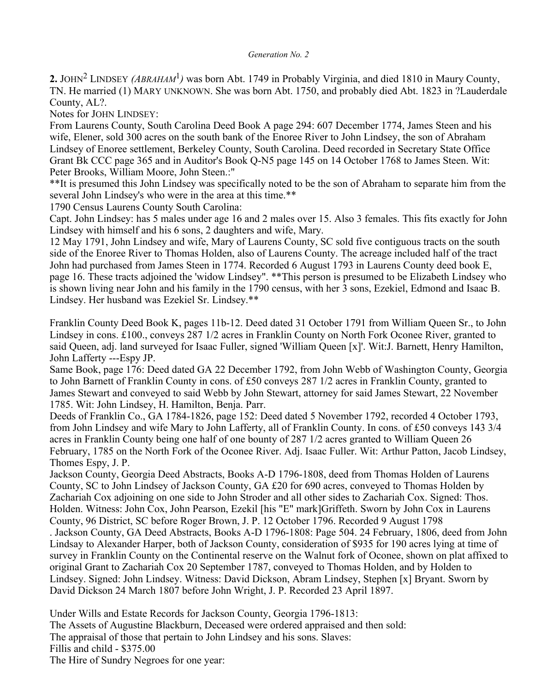#### *Generation No. 2*

2. JOHN<sup>2</sup> LINDSEY *(ABRAHAM<sup>1</sup>)* was born Abt. 1749 in Probably Virginia, and died 1810 in Maury County, TN. He married (1) MARY UNKNOWN. She was born Abt. 1750, and probably died Abt. 1823 in ?Lauderdale County, AL?.

Notes for JOHN LINDSEY:

From Laurens County, South Carolina Deed Book A page 294: 607 December 1774, James Steen and his wife, Elener, sold 300 acres on the south bank of the Enoree River to John Lindsey, the son of Abraham Lindsey of Enoree settlement, Berkeley County, South Carolina. Deed recorded in Secretary State Office Grant Bk CCC page 365 and in Auditor's Book Q-N5 page 145 on 14 October 1768 to James Steen. Wit: Peter Brooks, William Moore, John Steen.:"

\*\*It is presumed this John Lindsey was specifically noted to be the son of Abraham to separate him from the several John Lindsey's who were in the area at this time.\*\*

1790 Census Laurens County South Carolina:

Capt. John Lindsey: has 5 males under age 16 and 2 males over 15. Also 3 females. This fits exactly for John Lindsey with himself and his 6 sons, 2 daughters and wife, Mary.

12 May 1791, John Lindsey and wife, Mary of Laurens County, SC sold five contiguous tracts on the south side of the Enoree River to Thomas Holden, also of Laurens County. The acreage included half of the tract John had purchased from James Steen in 1774. Recorded 6 August 1793 in Laurens County deed book E, page 16. These tracts adjoined the 'widow Lindsey". \*\*This person is presumed to be Elizabeth Lindsey who is shown living near John and his family in the 1790 census, with her 3 sons, Ezekiel, Edmond and Isaac B. Lindsey. Her husband was Ezekiel Sr. Lindsey.\*\*

Franklin County Deed Book K, pages 11b-12. Deed dated 31 October 1791 from William Queen Sr., to John Lindsey in cons. £100., conveys 287 1/2 acres in Franklin County on North Fork Oconee River, granted to said Queen, adj. land surveyed for Isaac Fuller, signed 'William Queen [x]'. Wit:J. Barnett, Henry Hamilton, John Lafferty ---Espy JP.

Same Book, page 176: Deed dated GA 22 December 1792, from John Webb of Washington County, Georgia to John Barnett of Franklin County in cons. of £50 conveys 287 1/2 acres in Franklin County, granted to James Stewart and conveyed to said Webb by John Stewart, attorney for said James Stewart, 22 November 1785. Wit: John Lindsey, H. Hamilton, Benja. Parr.

Deeds of Franklin Co., GA 1784-1826, page 152: Deed dated 5 November 1792, recorded 4 October 1793, from John Lindsey and wife Mary to John Lafferty, all of Franklin County. In cons. of £50 conveys 143 3/4 acres in Franklin County being one half of one bounty of 287 1/2 acres granted to William Queen 26 February, 1785 on the North Fork of the Oconee River. Adj. Isaac Fuller. Wit: Arthur Patton, Jacob Lindsey, Thomes Espy, J. P.

Jackson County, Georgia Deed Abstracts, Books A-D 1796-1808, deed from Thomas Holden of Laurens County, SC to John Lindsey of Jackson County, GA £20 for 690 acres, conveyed to Thomas Holden by Zachariah Cox adjoining on one side to John Stroder and all other sides to Zachariah Cox. Signed: Thos. Holden. Witness: John Cox, John Pearson, Ezekil [his "E" mark]Griffeth. Sworn by John Cox in Laurens County, 96 District, SC before Roger Brown, J. P. 12 October 1796. Recorded 9 August 1798

. Jackson County, GA Deed Abstracts, Books A-D 1796-1808: Page 504. 24 February, 1806, deed from John Lindsay to Alexander Harper, both of Jackson County, consideration of \$935 for 190 acres lying at time of survey in Franklin County on the Continental reserve on the Walnut fork of Oconee, shown on plat affixed to original Grant to Zachariah Cox 20 September 1787, conveyed to Thomas Holden, and by Holden to Lindsey. Signed: John Lindsey. Witness: David Dickson, Abram Lindsey, Stephen [x] Bryant. Sworn by David Dickson 24 March 1807 before John Wright, J. P. Recorded 23 April 1897.

Under Wills and Estate Records for Jackson County, Georgia 1796-1813: The Assets of Augustine Blackburn, Deceased were ordered appraised and then sold: The appraisal of those that pertain to John Lindsey and his sons. Slaves: Fillis and child - \$375.00 The Hire of Sundry Negroes for one year: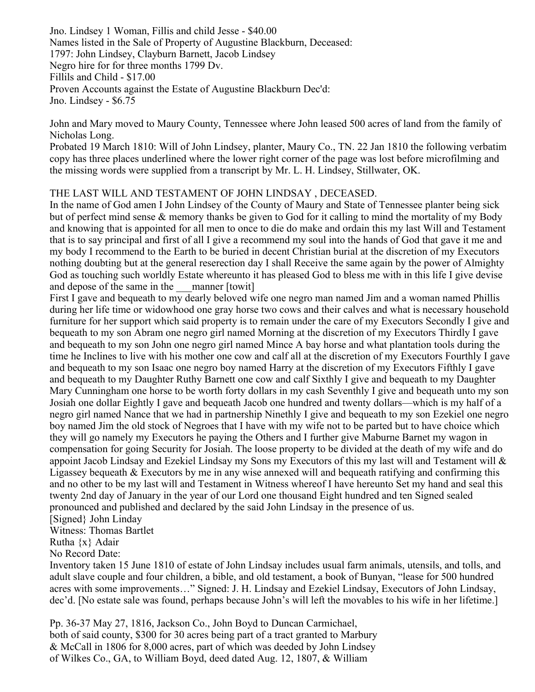Jno. Lindsey 1 Woman, Fillis and child Jesse - \$40.00 Names listed in the Sale of Property of Augustine Blackburn, Deceased: 1797: John Lindsey, Clayburn Barnett, Jacob Lindsey Negro hire for for three months 1799 Dv. Fillils and Child - \$17.00 Proven Accounts against the Estate of Augustine Blackburn Dec'd: Jno. Lindsey - \$6.75

John and Mary moved to Maury County, Tennessee where John leased 500 acres of land from the family of Nicholas Long.

Probated 19 March 1810: Will of John Lindsey, planter, Maury Co., TN. 22 Jan 1810 the following verbatim copy has three places underlined where the lower right corner of the page was lost before microfilming and the missing words were supplied from a transcript by Mr. L. H. Lindsey, Stillwater, OK.

# THE LAST WILL AND TESTAMENT OF JOHN LINDSAY , DECEASED.

In the name of God amen I John Lindsey of the County of Maury and State of Tennessee planter being sick but of perfect mind sense & memory thanks be given to God for it calling to mind the mortality of my Body and knowing that is appointed for all men to once to die do make and ordain this my last Will and Testament that is to say principal and first of all I give a recommend my soul into the hands of God that gave it me and my body I recommend to the Earth to be buried in decent Christian burial at the discretion of my Executors nothing doubting but at the general reserection day I shall Receive the same again by the power of Almighty God as touching such worldly Estate whereunto it has pleased God to bless me with in this life I give devise and depose of the same in the manner [towit]

First I gave and bequeath to my dearly beloved wife one negro man named Jim and a woman named Phillis during her life time or widowhood one gray horse two cows and their calves and what is necessary household furniture for her support which said property is to remain under the care of my Executors Secondly I give and bequeath to my son Abram one negro girl named Morning at the discretion of my Executors Thirdly I gave and bequeath to my son John one negro girl named Mince A bay horse and what plantation tools during the time he Inclines to live with his mother one cow and calf all at the discretion of my Executors Fourthly I gave and bequeath to my son Isaac one negro boy named Harry at the discretion of my Executors Fifthly I gave and bequeath to my Daughter Ruthy Barnett one cow and calf Sixthly I give and bequeath to my Daughter Mary Cunningham one horse to be worth forty dollars in my cash Seventhly I give and bequeath unto my son Josiah one dollar Eightly I gave and bequeath Jacob one hundred and twenty dollars—which is my half of a negro girl named Nance that we had in partnership Ninethly I give and bequeath to my son Ezekiel one negro boy named Jim the old stock of Negroes that I have with my wife not to be parted but to have choice which they will go namely my Executors he paying the Others and I further give Maburne Barnet my wagon in compensation for going Security for Josiah. The loose property to be divided at the death of my wife and do appoint Jacob Lindsay and Ezekiel Lindsay my Sons my Executors of this my last will and Testament will & Ligassey bequeath & Executors by me in any wise annexed will and bequeath ratifying and confirming this and no other to be my last will and Testament in Witness whereof I have hereunto Set my hand and seal this twenty 2nd day of January in the year of our Lord one thousand Eight hundred and ten Signed sealed pronounced and published and declared by the said John Lindsay in the presence of us.

[Signed} John Linday

Witness: Thomas Bartlet

Rutha {x} Adair

No Record Date:

Inventory taken 15 June 1810 of estate of John Lindsay includes usual farm animals, utensils, and tolls, and adult slave couple and four children, a bible, and old testament, a book of Bunyan, "lease for 500 hundred acres with some improvements…" Signed: J. H. Lindsay and Ezekiel Lindsay, Executors of John Lindsay, dec'd. [No estate sale was found, perhaps because John's will left the movables to his wife in her lifetime.]

Pp. 36-37 May 27, 1816, Jackson Co., John Boyd to Duncan Carmichael, both of said county, \$300 for 30 acres being part of a tract granted to Marbury & McCall in 1806 for 8,000 acres, part of which was deeded by John Lindsey of Wilkes Co., GA, to William Boyd, deed dated Aug. 12, 1807, & William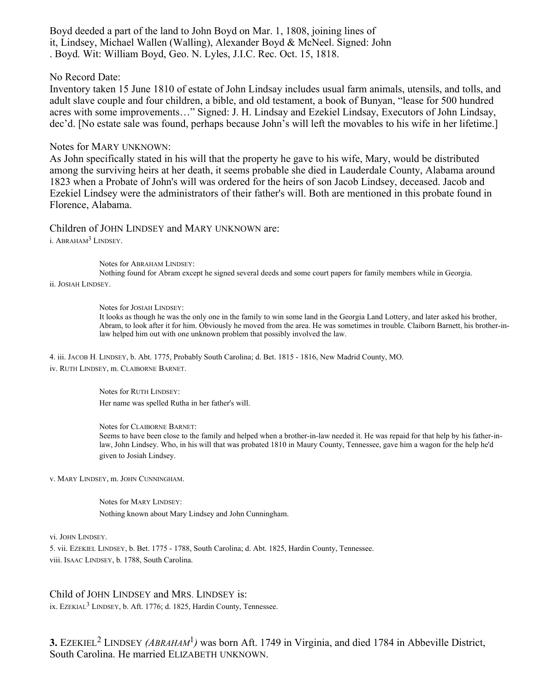Boyd deeded a part of the land to John Boyd on Mar. 1, 1808, joining lines of it, Lindsey, Michael Wallen (Walling), Alexander Boyd & McNeel. Signed: John . Boyd. Wit: William Boyd, Geo. N. Lyles, J.I.C. Rec. Oct. 15, 1818.

#### No Record Date:

Inventory taken 15 June 1810 of estate of John Lindsay includes usual farm animals, utensils, and tolls, and adult slave couple and four children, a bible, and old testament, a book of Bunyan, "lease for 500 hundred acres with some improvements…" Signed: J. H. Lindsay and Ezekiel Lindsay, Executors of John Lindsay, dec'd. [No estate sale was found, perhaps because John's will left the movables to his wife in her lifetime.]

#### Notes for MARY UNKNOWN:

As John specifically stated in his will that the property he gave to his wife, Mary, would be distributed among the surviving heirs at her death, it seems probable she died in Lauderdale County, Alabama around 1823 when a Probate of John's will was ordered for the heirs of son Jacob Lindsey, deceased. Jacob and Ezekiel Lindsey were the administrators of their father's will. Both are mentioned in this probate found in Florence, Alabama.

Children of JOHN LINDSEY and MARY UNKNOWN are: i. ABRAHAM<sup>3</sup> LINDSEY.

Notes for ABRAHAM LINDSEY:

Nothing found for Abram except he signed several deeds and some court papers for family members while in Georgia. ii. JOSIAH LINDSEY.

Notes for JOSIAH LINDSEY:

It looks as though he was the only one in the family to win some land in the Georgia Land Lottery, and later asked his brother, Abram, to look after it for him. Obviously he moved from the area. He was sometimes in trouble. Claiborn Barnett, his brother-inlaw helped him out with one unknown problem that possibly involved the law.

4. iii. JACOB H. LINDSEY, b. Abt. 1775, Probably South Carolina; d. Bet. 1815 - 1816, New Madrid County, MO. iv. RUTH LINDSEY, m. CLAIBORNE BARNET.

> Notes for RUTH LINDSEY: Her name was spelled Rutha in her father's will.

Notes for CLAIBORNE BARNET:

Seems to have been close to the family and helped when a brother-in-law needed it. He was repaid for that help by his father-inlaw, John Lindsey. Who, in his will that was probated 1810 in Maury County, Tennessee, gave him a wagon for the help he'd given to Josiah Lindsey.

v. MARY LINDSEY, m. JOHN CUNNINGHAM.

Notes for MARY LINDSEY: Nothing known about Mary Lindsey and John Cunningham.

vi. JOHN LINDSEY.

5. vii. EZEKIEL LINDSEY, b. Bet. 1775 - 1788, South Carolina; d. Abt. 1825, Hardin County, Tennessee. viii. ISAAC LINDSEY, b. 1788, South Carolina.

#### Child of JOHN LINDSEY and MRS. LINDSEY is:

ix. EZEKIAL<sup>3</sup> LINDSEY, b. Aft. 1776; d. 1825, Hardin County, Tennessee.

**3.** EZEKIEL<sup>2</sup> LINDSEY *(ABRAHAM<sup>1</sup>)* was born Aft. 1749 in Virginia, and died 1784 in Abbeville District, South Carolina. He married ELIZABETH UNKNOWN.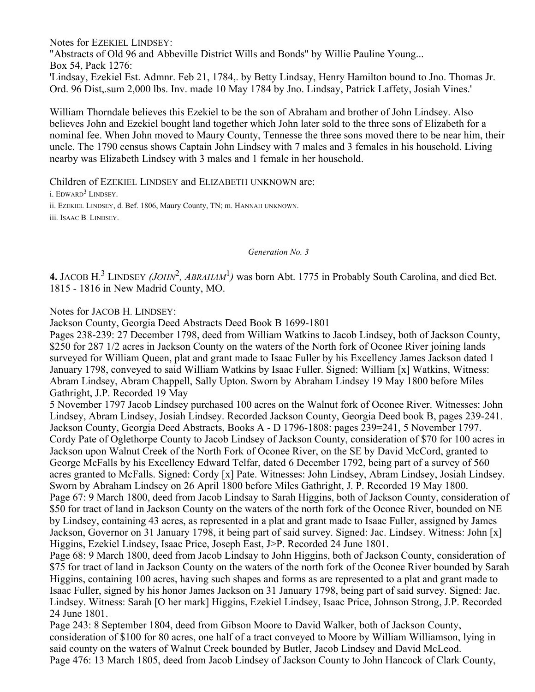Notes for EZEKIEL LINDSEY:

"Abstracts of Old 96 and Abbeville District Wills and Bonds" by Willie Pauline Young... Box 54, Pack 1276: 'Lindsay, Ezekiel Est. Admnr. Feb 21, 1784,. by Betty Lindsay, Henry Hamilton bound to Jno. Thomas Jr.

Ord. 96 Dist,.sum 2,000 lbs. Inv. made 10 May 1784 by Jno. Lindsay, Patrick Laffety, Josiah Vines.'

William Thorndale believes this Ezekiel to be the son of Abraham and brother of John Lindsey. Also believes John and Ezekiel bought land together which John later sold to the three sons of Elizabeth for a nominal fee. When John moved to Maury County, Tennesse the three sons moved there to be near him, their uncle. The 1790 census shows Captain John Lindsey with 7 males and 3 females in his household. Living nearby was Elizabeth Lindsey with 3 males and 1 female in her household.

Children of EZEKIEL LINDSEY and ELIZABETH UNKNOWN are: i. EDWARD<sup>3</sup> LINDSEY. ii. EZEKIEL LINDSEY, d. Bef. 1806, Maury County, TN; m. HANNAH UNKNOWN. iii. ISAAC B. LINDSEY.

*Generation No. 3*

4. JACOB H.<sup>3</sup> LINDSEY *(JOHN<sup>2</sup>, ABRAHAM*<sup>1</sup>) was born Abt. 1775 in Probably South Carolina, and died Bet. 1815 - 1816 in New Madrid County, MO.

Notes for JACOB H. LINDSEY:

Jackson County, Georgia Deed Abstracts Deed Book B 1699-1801

Pages 238-239: 27 December 1798, deed from William Watkins to Jacob Lindsey, both of Jackson County, \$250 for 287 1/2 acres in Jackson County on the waters of the North fork of Oconee River joining lands surveyed for William Queen, plat and grant made to Isaac Fuller by his Excellency James Jackson dated 1 January 1798, conveyed to said William Watkins by Isaac Fuller. Signed: William [x] Watkins, Witness: Abram Lindsey, Abram Chappell, Sally Upton. Sworn by Abraham Lindsey 19 May 1800 before Miles Gathright, J.P. Recorded 19 May

5 November 1797 Jacob Lindsey purchased 100 acres on the Walnut fork of Oconee River. Witnesses: John Lindsey, Abram Lindsey, Josiah Lindsey. Recorded Jackson County, Georgia Deed book B, pages 239-241. Jackson County, Georgia Deed Abstracts, Books A - D 1796-1808: pages 239=241, 5 November 1797. Cordy Pate of Oglethorpe County to Jacob Lindsey of Jackson County, consideration of \$70 for 100 acres in Jackson upon Walnut Creek of the North Fork of Oconee River, on the SE by David McCord, granted to George McFalls by his Excellency Edward Telfar, dated 6 December 1792, being part of a survey of 560 acres granted to McFalls. Signed: Cordy [x] Pate. Witnesses: John Lindsey, Abram Lindsey, Josiah Lindsey. Sworn by Abraham Lindsey on 26 April 1800 before Miles Gathright, J. P. Recorded 19 May 1800. Page 67: 9 March 1800, deed from Jacob Lindsay to Sarah Higgins, both of Jackson County, consideration of \$50 for tract of land in Jackson County on the waters of the north fork of the Oconee River, bounded on NE by Lindsey, containing 43 acres, as represented in a plat and grant made to Isaac Fuller, assigned by James Jackson, Governor on 31 January 1798, it being part of said survey. Signed: Jac. Lindsey. Witness: John [x] Higgins, Ezekiel Lindsey, Isaac Price, Joseph East, J>P. Recorded 24 June 1801.

Page 68: 9 March 1800, deed from Jacob Lindsay to John Higgins, both of Jackson County, consideration of \$75 for tract of land in Jackson County on the waters of the north fork of the Oconee River bounded by Sarah Higgins, containing 100 acres, having such shapes and forms as are represented to a plat and grant made to Isaac Fuller, signed by his honor James Jackson on 31 January 1798, being part of said survey. Signed: Jac. Lindsey. Witness: Sarah [O her mark] Higgins, Ezekiel Lindsey, Isaac Price, Johnson Strong, J.P. Recorded 24 June 1801.

Page 243: 8 September 1804, deed from Gibson Moore to David Walker, both of Jackson County, consideration of \$100 for 80 acres, one half of a tract conveyed to Moore by William Williamson, lying in said county on the waters of Walnut Creek bounded by Butler, Jacob Lindsey and David McLeod. Page 476: 13 March 1805, deed from Jacob Lindsey of Jackson County to John Hancock of Clark County,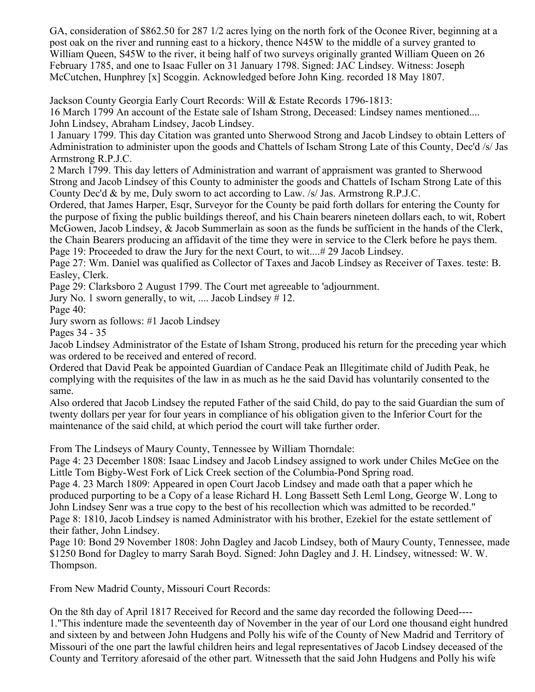GA, consideration of \$862.50 for 287 1/2 acres lying on the north fork of the Oconee River, beginning at a post oak on the river and running east to a hickory, thence N45W to the middle of a survey granted to William Queen, S45W to the river, it being half of two surveys originally granted William Queen on 26 February 1785, and one to Isaac Fuller on 31 January 1798. Signed: JAC Lindsey. Witness: Joseph McCutchen, Hunphrey [x] Scoggin. Acknowledged before John King. recorded 18 May 1807.

Jackson County Georgia Early Court Records: Will & Estate Records 1796-1813:

16 March 1799 An account of the Estate sale of Isham Strong, Deceased: Lindsey names mentioned.... John Lindsey, Abraham Lindsey, Jacob Lindsey.

1 January 1799. This day Citation was granted unto Sherwood Strong and Jacob Lindsey to obtain Letters of Administration to administer upon the goods and Chattels of Ischam Strong Late of this County, Dec'd /s/ Jas Armstrong R.P.J.C.

2 March 1799. This day letters of Administration and warrant of appraisment was granted to Sherwood Strong and Jacob Lindsey of this County to administer the goods and Chattels of Ischam Strong Late of this County Dec'd & by me, Duly sworn to act according to Law. /s/ Jas. Armstrong R.P.J.C.

Ordered, that James Harper, Esqr, Surveyor for the County be paid forth dollars for entering the County for the purpose of fixing the public buildings thereof, and his Chain bearers nineteen dollars each, to wit, Robert McGowen, Jacob Lindsey, & Jacob Summerlain as soon as the funds be sufficient in the hands of the Clerk, the Chain Bearers producing an affidavit of the time they were in service to the Clerk before he pays them. Page 19: Proceeded to draw the Jury for the next Court, to wit....# 29 Jacob Lindsey.

Page 27: Wm. Daniel was qualified as Collector of Taxes and Jacob Lindsey as Receiver of Taxes. teste: B. Easley, Clerk.

Page 29: Clarksboro 2 August 1799. The Court met agreeable to 'adjournment.

Jury No. 1 sworn generally, to wit, .... Jacob Lindsey # 12.

Page 40:

Jury sworn as follows: #1 Jacob Lindsey

Pages 34 - 35

Jacob Lindsey Administrator of the Estate of Isham Strong, produced his return for the preceding year which was ordered to be received and entered of record.

Ordered that David Peak be appointed Guardian of Candace Peak an Illegitimate child of Judith Peak, he complying with the requisites of the law in as much as he the said David has voluntarily consented to the same.

Also ordered that Jacob Lindsey the reputed Father of the said Child, do pay to the said Guardian the sum of twenty dollars per year for four years in compliance of his obligation given to the Inferior Court for the maintenance of the said child, at which period the court will take further order.

From The Lindseys of Maury County, Tennessee by William Thorndale:

Page 4: 23 December 1808: Isaac Lindsey and Jacob Lindsey assigned to work under Chiles McGee on the Little Tom Bigby-West Fork of Lick Creek section of the Columbia-Pond Spring road.

Page 4. 23 March 1809: Appeared in open Court Jacob Lindsey and made oath that a paper which he produced purporting to be a Copy of a lease Richard H. Long Bassett Seth Leml Long, George W. Long to John Lindsey Senr was a true copy to the best of his recollection which was admitted to be recorded." Page 8: 1810, Jacob Lindsey is named Administrator with his brother, Ezekiel for the estate settlement of their father, John Lindsey.

Page 10: Bond 29 November 1808: John Dagley and Jacob Lindsey, both of Maury County, Tennessee, made \$1250 Bond for Dagley to marry Sarah Boyd. Signed: John Dagley and J. H. Lindsey, witnessed: W. W. Thompson.

From New Madrid County, Missouri Court Records:

On the 8th day of April 1817 Received for Record and the same day recorded the following Deed---- 1."This indenture made the seventeenth day of November in the year of our Lord one thousand eight hundred and sixteen by and between John Hudgens and Polly his wife of the County of New Madrid and Territory of Missouri of the one part the lawful children heirs and legal representatives of Jacob Lindsey deceased of the County and Territory aforesaid of the other part. Witnesseth that the said John Hudgens and Polly his wife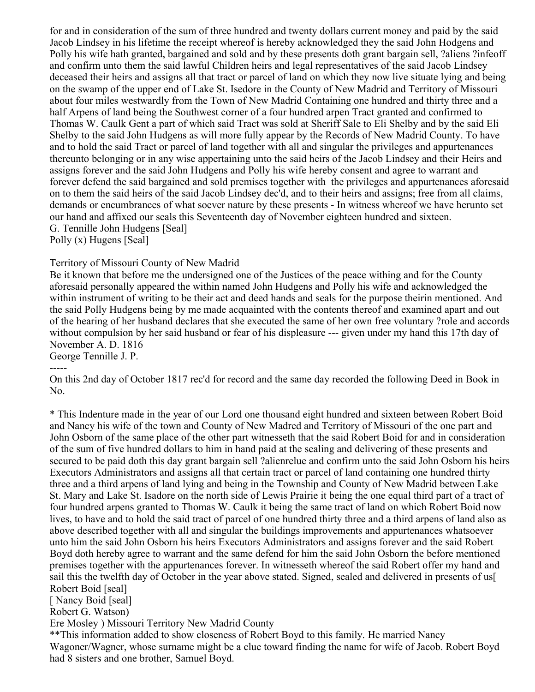for and in consideration of the sum of three hundred and twenty dollars current money and paid by the said Jacob Lindsey in his lifetime the receipt whereof is hereby acknowledged they the said John Hodgens and Polly his wife hath granted, bargained and sold and by these presents doth grant bargain sell, ?aliens ?infeoff and confirm unto them the said lawful Children heirs and legal representatives of the said Jacob Lindsey deceased their heirs and assigns all that tract or parcel of land on which they now live situate lying and being on the swamp of the upper end of Lake St. Isedore in the County of New Madrid and Territory of Missouri about four miles westwardly from the Town of New Madrid Containing one hundred and thirty three and a half Arpens of land being the Southwest corner of a four hundred arpen Tract granted and confirmed to Thomas W. Caulk Gent a part of which said Tract was sold at Sheriff Sale to Eli Shelby and by the said Eli Shelby to the said John Hudgens as will more fully appear by the Records of New Madrid County. To have and to hold the said Tract or parcel of land together with all and singular the privileges and appurtenances thereunto belonging or in any wise appertaining unto the said heirs of the Jacob Lindsey and their Heirs and assigns forever and the said John Hudgens and Polly his wife hereby consent and agree to warrant and forever defend the said bargained and sold premises together with the privileges and appurtenances aforesaid on to them the said heirs of the said Jacob Lindsey dec'd, and to their heirs and assigns; free from all claims, demands or encumbrances of what soever nature by these presents - In witness whereof we have herunto set our hand and affixed our seals this Seventeenth day of November eighteen hundred and sixteen. G. Tennille John Hudgens [Seal]

Polly (x) Hugens [Seal]

## Territory of Missouri County of New Madrid

Be it known that before me the undersigned one of the Justices of the peace withing and for the County aforesaid personally appeared the within named John Hudgens and Polly his wife and acknowledged the within instrument of writing to be their act and deed hands and seals for the purpose theirin mentioned. And the said Polly Hudgens being by me made acquainted with the contents thereof and examined apart and out of the hearing of her husband declares that she executed the same of her own free voluntary ?role and accords without compulsion by her said husband or fear of his displeasure --- given under my hand this 17th day of November A. D. 1816

George Tennille J. P.

On this 2nd day of October 1817 rec'd for record and the same day recorded the following Deed in Book in No.

\* This Indenture made in the year of our Lord one thousand eight hundred and sixteen between Robert Boid and Nancy his wife of the town and County of New Madred and Territory of Missouri of the one part and John Osborn of the same place of the other part witnesseth that the said Robert Boid for and in consideration of the sum of five hundred dollars to him in hand paid at the sealing and delivering of these presents and secured to be paid doth this day grant bargain sell ?alienrelue and confirm unto the said John Osborn his heirs Executors Administrators and assigns all that certain tract or parcel of land containing one hundred thirty three and a third arpens of land lying and being in the Township and County of New Madrid between Lake St. Mary and Lake St. Isadore on the north side of Lewis Prairie it being the one equal third part of a tract of four hundred arpens granted to Thomas W. Caulk it being the same tract of land on which Robert Boid now lives, to have and to hold the said tract of parcel of one hundred thirty three and a third arpens of land also as above described together with all and singular the buildings improvements and appurtenances whatsoever unto him the said John Osborn his heirs Executors Administrators and assigns forever and the said Robert Boyd doth hereby agree to warrant and the same defend for him the said John Osborn the before mentioned premises together with the appurtenances forever. In witnesseth whereof the said Robert offer my hand and sail this the twelfth day of October in the year above stated. Signed, sealed and delivered in presents of us[ Robert Boid [seal]

[ Nancy Boid [seal]

Robert G. Watson)

Ere Mosley ) Missouri Territory New Madrid County

\*\*This information added to show closeness of Robert Boyd to this family. He married Nancy Wagoner/Wagner, whose surname might be a clue toward finding the name for wife of Jacob. Robert Boyd had 8 sisters and one brother, Samuel Boyd.

<sup>-----</sup>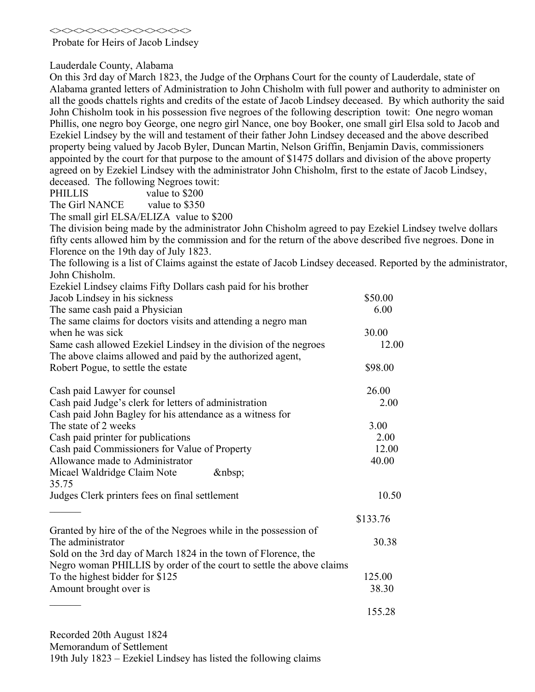<><><><><><><><><><><><>

Probate for Heirs of Jacob Lindsey

Lauderdale County, Alabama

On this 3rd day of March 1823, the Judge of the Orphans Court for the county of Lauderdale, state of Alabama granted letters of Administration to John Chisholm with full power and authority to administer on all the goods chattels rights and credits of the estate of Jacob Lindsey deceased. By which authority the said John Chisholm took in his possession five negroes of the following description towit: One negro woman Phillis, one negro boy George, one negro girl Nance, one boy Booker, one small girl Elsa sold to Jacob and Ezekiel Lindsey by the will and testament of their father John Lindsey deceased and the above described property being valued by Jacob Byler, Duncan Martin, Nelson Griffin, Benjamin Davis, commissioners appointed by the court for that purpose to the amount of \$1475 dollars and division of the above property agreed on by Ezekiel Lindsey with the administrator John Chisholm, first to the estate of Jacob Lindsey, deceased. The following Negroes towit:

PHILLIS value to \$200

The Girl NANCE value to \$350

The small girl ELSA/ELIZA value to \$200

The division being made by the administrator John Chisholm agreed to pay Ezekiel Lindsey twelve dollars fifty cents allowed him by the commission and for the return of the above described five negroes. Done in Florence on the 19th day of July 1823.

The following is a list of Claims against the estate of Jacob Lindsey deceased. Reported by the administrator, John Chisholm.

| Ezekiel Lindsey claims Fifty Dollars cash paid for his brother                                                                 |          |
|--------------------------------------------------------------------------------------------------------------------------------|----------|
| Jacob Lindsey in his sickness                                                                                                  | \$50.00  |
| The same cash paid a Physician                                                                                                 | 6.00     |
| The same claims for doctors visits and attending a negro man<br>when he was sick                                               | 30.00    |
| Same cash allowed Ezekiel Lindsey in the division of the negroes<br>The above claims allowed and paid by the authorized agent, | 12.00    |
| Robert Pogue, to settle the estate                                                                                             | \$98.00  |
| Cash paid Lawyer for counsel                                                                                                   | 26.00    |
| Cash paid Judge's clerk for letters of administration                                                                          | 2.00     |
| Cash paid John Bagley for his attendance as a witness for                                                                      |          |
| The state of 2 weeks                                                                                                           | 3.00     |
| Cash paid printer for publications                                                                                             | 2.00     |
| Cash paid Commissioners for Value of Property                                                                                  | 12.00    |
| Allowance made to Administrator                                                                                                | 40.00    |
| Micael Waldridge Claim Note<br>$\&$ nbsp;<br>35.75                                                                             |          |
| Judges Clerk printers fees on final settlement                                                                                 | 10.50    |
|                                                                                                                                | \$133.76 |
| Granted by hire of the of the Negroes while in the possession of<br>The administrator                                          | 30.38    |
| Sold on the 3rd day of March 1824 in the town of Florence, the                                                                 |          |
| Negro woman PHILLIS by order of the court to settle the above claims                                                           |          |
| To the highest bidder for \$125                                                                                                | 125.00   |
| Amount brought over is                                                                                                         | 38.30    |
|                                                                                                                                |          |
|                                                                                                                                | 155.28   |

Recorded 20th August 1824

Memorandum of Settlement

19th July 1823 – Ezekiel Lindsey has listed the following claims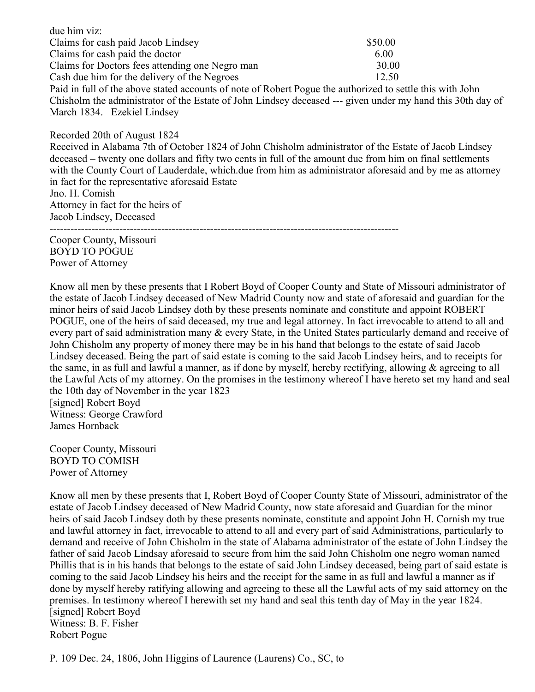due him viz: Claims for cash paid Jacob Lindsey \$50.00 Claims for cash paid the doctor 6.00 Claims for Doctors fees attending one Negro man 30.00 Cash due him for the delivery of the Negroes 12.50 Paid in full of the above stated accounts of note of Robert Pogue the authorized to settle this with John Chisholm the administrator of the Estate of John Lindsey deceased --- given under my hand this 30th day of March 1834. Ezekiel Lindsey

Recorded 20th of August 1824 Received in Alabama 7th of October 1824 of John Chisholm administrator of the Estate of Jacob Lindsey deceased – twenty one dollars and fifty two cents in full of the amount due from him on final settlements with the County Court of Lauderdale, which.due from him as administrator aforesaid and by me as attorney in fact for the representative aforesaid Estate Jno. H. Comish Attorney in fact for the heirs of Jacob Lindsey, Deceased ----------------------------------------------------------------------------------------------------

Cooper County, Missouri BOYD TO POGUE Power of Attorney

Know all men by these presents that I Robert Boyd of Cooper County and State of Missouri administrator of the estate of Jacob Lindsey deceased of New Madrid County now and state of aforesaid and guardian for the minor heirs of said Jacob Lindsey doth by these presents nominate and constitute and appoint ROBERT POGUE, one of the heirs of said deceased, my true and legal attorney. In fact irrevocable to attend to all and every part of said administration many & every State, in the United States particularly demand and receive of John Chisholm any property of money there may be in his hand that belongs to the estate of said Jacob Lindsey deceased. Being the part of said estate is coming to the said Jacob Lindsey heirs, and to receipts for the same, in as full and lawful a manner, as if done by myself, hereby rectifying, allowing & agreeing to all the Lawful Acts of my attorney. On the promises in the testimony whereof I have hereto set my hand and seal the 10th day of November in the year 1823 [signed] Robert Boyd

Witness: George Crawford James Hornback

Cooper County, Missouri BOYD TO COMISH Power of Attorney

Know all men by these presents that I, Robert Boyd of Cooper County State of Missouri, administrator of the estate of Jacob Lindsey deceased of New Madrid County, now state aforesaid and Guardian for the minor heirs of said Jacob Lindsey doth by these presents nominate, constitute and appoint John H. Cornish my true and lawful attorney in fact, irrevocable to attend to all and every part of said Administrations, particularly to demand and receive of John Chisholm in the state of Alabama administrator of the estate of John Lindsey the father of said Jacob Lindsay aforesaid to secure from him the said John Chisholm one negro woman named Phillis that is in his hands that belongs to the estate of said John Lindsey deceased, being part of said estate is coming to the said Jacob Lindsey his heirs and the receipt for the same in as full and lawful a manner as if done by myself hereby ratifying allowing and agreeing to these all the Lawful acts of my said attorney on the premises. In testimony whereof I herewith set my hand and seal this tenth day of May in the year 1824. [signed] Robert Boyd Witness: B. F. Fisher Robert Pogue

P. 109 Dec. 24, 1806, John Higgins of Laurence (Laurens) Co., SC, to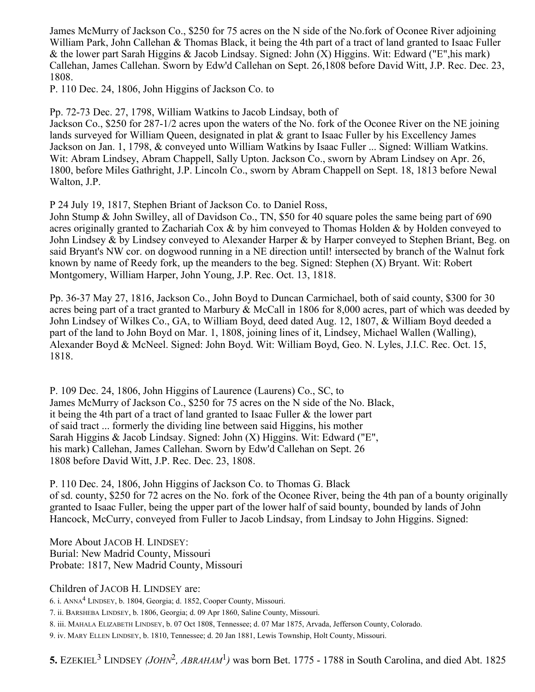James McMurry of Jackson Co., \$250 for 75 acres on the N side of the No.fork of Oconee River adjoining William Park, John Callehan & Thomas Black, it being the 4th part of a tract of land granted to Isaac Fuller & the lower part Sarah Higgins & Jacob Lindsay. Signed: John  $(X)$  Higgins. Wit: Edward ("E", his mark) Callehan, James Callehan. Sworn by Edw'd Callehan on Sept. 26,1808 before David Witt, J.P. Rec. Dec. 23, 1808.

P. 110 Dec. 24, 1806, John Higgins of Jackson Co. to

Pp. 72-73 Dec. 27, 1798, William Watkins to Jacob Lindsay, both of

Jackson Co., \$250 for 287-1/2 acres upon the waters of the No. fork of the Oconee River on the NE joining lands surveyed for William Queen, designated in plat & grant to Isaac Fuller by his Excellency James Jackson on Jan. 1, 1798, & conveyed unto William Watkins by Isaac Fuller ... Signed: William Watkins. Wit: Abram Lindsey, Abram Chappell, Sally Upton. Jackson Co., sworn by Abram Lindsey on Apr. 26, 1800, before Miles Gathright, J.P. Lincoln Co., sworn by Abram Chappell on Sept. 18, 1813 before Newal Walton, J.P.

P 24 July 19, 1817, Stephen Briant of Jackson Co. to Daniel Ross,

John Stump & John Swilley, all of Davidson Co., TN, \$50 for 40 square poles the same being part of 690 acres originally granted to Zachariah Cox  $\&$  by him conveyed to Thomas Holden  $\&$  by Holden conveyed to John Lindsey & by Lindsey conveyed to Alexander Harper & by Harper conveyed to Stephen Briant, Beg. on said Bryant's NW cor. on dogwood running in a NE direction until! intersected by branch of the Walnut fork known by name of Reedy fork, up the meanders to the beg. Signed: Stephen (X) Bryant. Wit: Robert Montgomery, William Harper, John Young, J.P. Rec. Oct. 13, 1818.

Pp. 36-37 May 27, 1816, Jackson Co., John Boyd to Duncan Carmichael, both of said county, \$300 for 30 acres being part of a tract granted to Marbury & McCall in 1806 for 8,000 acres, part of which was deeded by John Lindsey of Wilkes Co., GA, to William Boyd, deed dated Aug. 12, 1807, & William Boyd deeded a part of the land to John Boyd on Mar. 1, 1808, joining lines of it, Lindsey, Michael Wallen (Walling), Alexander Boyd & McNeel. Signed: John Boyd. Wit: William Boyd, Geo. N. Lyles, J.I.C. Rec. Oct. 15, 1818.

P. 109 Dec. 24, 1806, John Higgins of Laurence (Laurens) Co., SC, to James McMurry of Jackson Co., \$250 for 75 acres on the N side of the No. Black, it being the 4th part of a tract of land granted to Isaac Fuller  $\&$  the lower part of said tract ... formerly the dividing line between said Higgins, his mother Sarah Higgins & Jacob Lindsay. Signed: John (X) Higgins. Wit: Edward ("E", his mark) Callehan, James Callehan. Sworn by Edw'd Callehan on Sept. 26 1808 before David Witt, J.P. Rec. Dec. 23, 1808.

P. 110 Dec. 24, 1806, John Higgins of Jackson Co. to Thomas G. Black of sd. county, \$250 for 72 acres on the No. fork of the Oconee River, being the 4th pan of a bounty originally granted to Isaac Fuller, being the upper part of the lower half of said bounty, bounded by lands of John Hancock, McCurry, conveyed from Fuller to Jacob Lindsay, from Lindsay to John Higgins. Signed:

More About JACOB H. LINDSEY: Burial: New Madrid County, Missouri Probate: 1817, New Madrid County, Missouri

Children of JACOB H. LINDSEY are:

6. i. ANNA<sup>4</sup> LINDSEY, b. 1804, Georgia; d. 1852, Cooper County, Missouri.

7. ii. BARSHEBA LINDSEY, b. 1806, Georgia; d. 09 Apr 1860, Saline County, Missouri.

8. iii. MAHALA ELIZABETH LINDSEY, b. 07 Oct 1808, Tennessee; d. 07 Mar 1875, Arvada, Jefferson County, Colorado.

9. iv. MARY ELLEN LINDSEY, b. 1810, Tennessee; d. 20 Jan 1881, Lewis Township, Holt County, Missouri.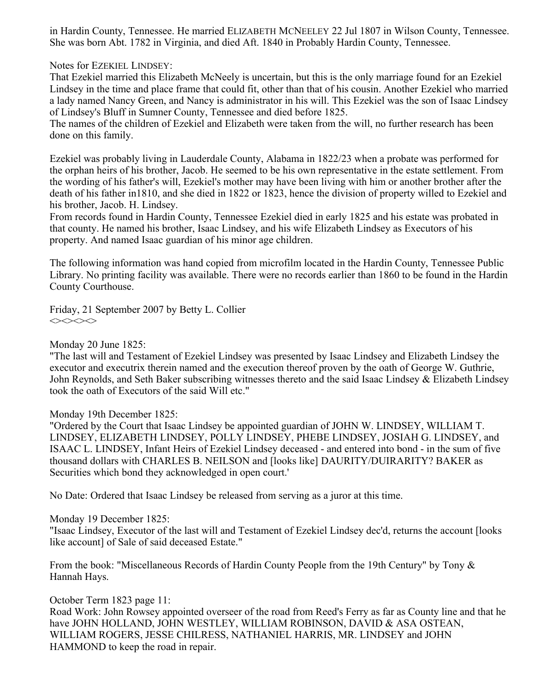in Hardin County, Tennessee. He married ELIZABETH MCNEELEY 22 Jul 1807 in Wilson County, Tennessee. She was born Abt. 1782 in Virginia, and died Aft. 1840 in Probably Hardin County, Tennessee.

Notes for EZEKIEL LINDSEY:

That Ezekiel married this Elizabeth McNeely is uncertain, but this is the only marriage found for an Ezekiel Lindsey in the time and place frame that could fit, other than that of his cousin. Another Ezekiel who married a lady named Nancy Green, and Nancy is administrator in his will. This Ezekiel was the son of Isaac Lindsey of Lindsey's Bluff in Sumner County, Tennessee and died before 1825.

The names of the children of Ezekiel and Elizabeth were taken from the will, no further research has been done on this family.

Ezekiel was probably living in Lauderdale County, Alabama in 1822/23 when a probate was performed for the orphan heirs of his brother, Jacob. He seemed to be his own representative in the estate settlement. From the wording of his father's will, Ezekiel's mother may have been living with him or another brother after the death of his father in1810, and she died in 1822 or 1823, hence the division of property willed to Ezekiel and his brother, Jacob. H. Lindsey.

From records found in Hardin County, Tennessee Ezekiel died in early 1825 and his estate was probated in that county. He named his brother, Isaac Lindsey, and his wife Elizabeth Lindsey as Executors of his property. And named Isaac guardian of his minor age children.

The following information was hand copied from microfilm located in the Hardin County, Tennessee Public Library. No printing facility was available. There were no records earlier than 1860 to be found in the Hardin County Courthouse.

Friday, 21 September 2007 by Betty L. Collier  $\Leftrightarrow$ 

Monday 20 June 1825:

"The last will and Testament of Ezekiel Lindsey was presented by Isaac Lindsey and Elizabeth Lindsey the executor and executrix therein named and the execution thereof proven by the oath of George W. Guthrie, John Reynolds, and Seth Baker subscribing witnesses thereto and the said Isaac Lindsey & Elizabeth Lindsey took the oath of Executors of the said Will etc."

Monday 19th December 1825:

"Ordered by the Court that Isaac Lindsey be appointed guardian of JOHN W. LINDSEY, WILLIAM T. LINDSEY, ELIZABETH LINDSEY, POLLY LINDSEY, PHEBE LINDSEY, JOSIAH G. LINDSEY, and ISAAC L. LINDSEY, Infant Heirs of Ezekiel Lindsey deceased - and entered into bond - in the sum of five thousand dollars with CHARLES B. NEILSON and [looks like] DAURITY/DUIRARITY? BAKER as Securities which bond they acknowledged in open court.'

No Date: Ordered that Isaac Lindsey be released from serving as a juror at this time.

Monday 19 December 1825:

"Isaac Lindsey, Executor of the last will and Testament of Ezekiel Lindsey dec'd, returns the account [looks like account] of Sale of said deceased Estate."

From the book: "Miscellaneous Records of Hardin County People from the 19th Century" by Tony  $\&$ Hannah Hays.

October Term 1823 page 11: Road Work: John Rowsey appointed overseer of the road from Reed's Ferry as far as County line and that he have JOHN HOLLAND, JOHN WESTLEY, WILLIAM ROBINSON, DAVID & ASA OSTEAN, WILLIAM ROGERS, JESSE CHILRESS, NATHANIEL HARRIS, MR. LINDSEY and JOHN HAMMOND to keep the road in repair.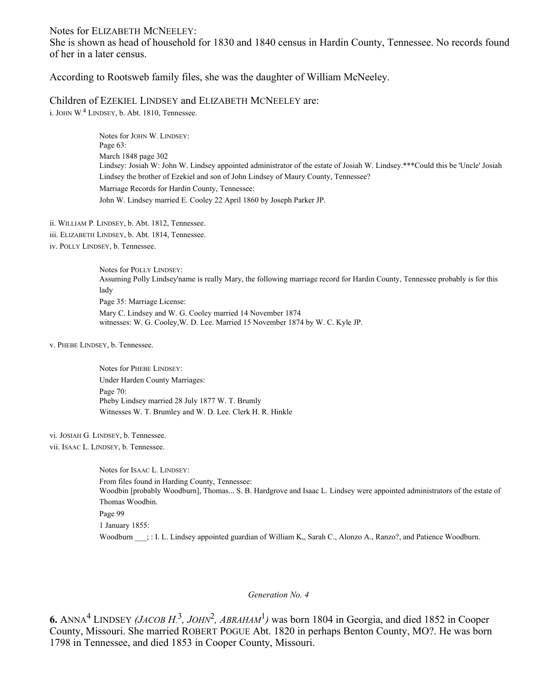#### Notes for ELIZABETH MCNEELEY:

She is shown as head of household for 1830 and 1840 census in Hardin County, Tennessee. No records found of her in a later census.

According to Rootsweb family files, she was the daughter of William McNeeley.

Children of EZEKIEL LINDSEY and ELIZABETH MCNEELEY are:

i. JOHN  $W^4$  LINDSEY, b. Abt. 1810, Tennessee.

Notes for JOHN W. LINDSEY: Page 63: March 1848 page 302 Lindsey: Josiah W: John W. Lindsey appointed administrator of the estate of Josiah W. Lindsey.\*\*\*Could this be 'Uncle' Josiah Lindsey the brother of Ezekiel and son of John Lindsey of Maury County, Tennessee? Marriage Records for Hardin County, Tennessee: John W. Lindsey married E. Cooley 22 April 1860 by Joseph Parker JP.

- ii. WILLIAM P. LINDSEY, b. Abt. 1812, Tennessee.
- iii. ELIZABETH LINDSEY, b. Abt. 1814, Tennessee.
- iv. POLLY LINDSEY, b. Tennessee.

Notes for POLLY LINDSEY: Assuming Polly Lindsey'name is really Mary, the following marriage record for Hardin County, Tennessee probably is for this lady Page 35: Marriage License: Mary C. Lindsey and W. G. Cooley married 14 November 1874 witnesses: W. G. Cooley,W. D. Lee. Married 15 November 1874 by W. C. Kyle JP.

v. PHEBE LINDSEY, b. Tennessee.

Notes for PHEBE LINDSEY: Under Harden County Marriages: Page 70: Pheby Lindsey married 28 July 1877 W. T. Brumly Witnesses W. T. Brumley and W. D. Lee. Clerk H. R. Hinkle

vi. JOSIAH G. LINDSEY, b. Tennessee.

vii. ISAAC L. LINDSEY, b. Tennessee.

Notes for ISAAC L. LINDSEY: From files found in Harding County, Tennessee: Woodbin [probably Woodburn], Thomas... S. B. Hardgrove and Isaac L. Lindsey were appointed administrators of the estate of Thomas Woodbin. Page 99 1 January 1855: Woodburn  $\therefore$  I. L. Lindsey appointed guardian of William K,, Sarah C., Alonzo A., Ranzo?, and Patience Woodburn.

#### *Generation No. 4*

6. ANNA<sup>4</sup> LINDSEY *(JACOB H.*<sup>3</sup>, *JOHN*<sup>2</sup>, *ABRAHAM*<sup>1</sup>) was born 1804 in Georgia, and died 1852 in Cooper County, Missouri. She married ROBERT POGUE Abt. 1820 in perhaps Benton County, MO?. He was born 1798 in Tennessee, and died 1853 in Cooper County, Missouri.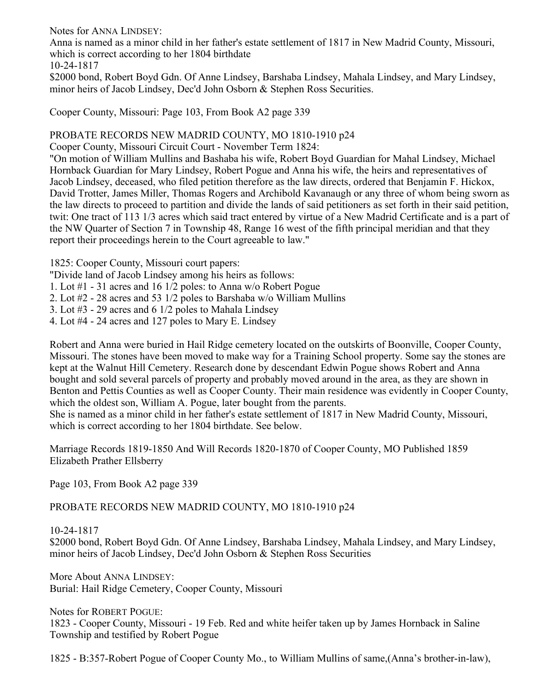Notes for ANNA LINDSEY:

Anna is named as a minor child in her father's estate settlement of 1817 in New Madrid County, Missouri, which is correct according to her 1804 birthdate

10-24-1817

\$2000 bond, Robert Boyd Gdn. Of Anne Lindsey, Barshaba Lindsey, Mahala Lindsey, and Mary Lindsey, minor heirs of Jacob Lindsey, Dec'd John Osborn & Stephen Ross Securities.

Cooper County, Missouri: Page 103, From Book A2 page 339

# PROBATE RECORDS NEW MADRID COUNTY, MO 1810-1910 p24

Cooper County, Missouri Circuit Court - November Term 1824:

"On motion of William Mullins and Bashaba his wife, Robert Boyd Guardian for Mahal Lindsey, Michael Hornback Guardian for Mary Lindsey, Robert Pogue and Anna his wife, the heirs and representatives of Jacob Lindsey, deceased, who filed petition therefore as the law directs, ordered that Benjamin F. Hickox, David Trotter, James Miller, Thomas Rogers and Archibold Kavanaugh or any three of whom being sworn as the law directs to proceed to partition and divide the lands of said petitioners as set forth in their said petition, twit: One tract of 113 1/3 acres which said tract entered by virtue of a New Madrid Certificate and is a part of the NW Quarter of Section 7 in Township 48, Range 16 west of the fifth principal meridian and that they report their proceedings herein to the Court agreeable to law."

1825: Cooper County, Missouri court papers:

"Divide land of Jacob Lindsey among his heirs as follows:

1. Lot #1 - 31 acres and 16 1/2 poles: to Anna w/o Robert Pogue

2. Lot #2 - 28 acres and 53 1/2 poles to Barshaba w/o William Mullins

3. Lot #3 - 29 acres and 6 1/2 poles to Mahala Lindsey

4. Lot #4 - 24 acres and 127 poles to Mary E. Lindsey

Robert and Anna were buried in Hail Ridge cemetery located on the outskirts of Boonville, Cooper County, Missouri. The stones have been moved to make way for a Training School property. Some say the stones are kept at the Walnut Hill Cemetery. Research done by descendant Edwin Pogue shows Robert and Anna bought and sold several parcels of property and probably moved around in the area, as they are shown in Benton and Pettis Counties as well as Cooper County. Their main residence was evidently in Cooper County, which the oldest son, William A. Pogue, later bought from the parents.

She is named as a minor child in her father's estate settlement of 1817 in New Madrid County, Missouri, which is correct according to her 1804 birthdate. See below.

Marriage Records 1819-1850 And Will Records 1820-1870 of Cooper County, MO Published 1859 Elizabeth Prather Ellsberry

Page 103, From Book A2 page 339

PROBATE RECORDS NEW MADRID COUNTY, MO 1810-1910 p24

10-24-1817

\$2000 bond, Robert Boyd Gdn. Of Anne Lindsey, Barshaba Lindsey, Mahala Lindsey, and Mary Lindsey, minor heirs of Jacob Lindsey, Dec'd John Osborn & Stephen Ross Securities

More About ANNA LINDSEY: Burial: Hail Ridge Cemetery, Cooper County, Missouri

Notes for ROBERT POGUE:

1823 - Cooper County, Missouri - 19 Feb. Red and white heifer taken up by James Hornback in Saline Township and testified by Robert Pogue

1825 - B:357-Robert Pogue of Cooper County Mo., to William Mullins of same,(Anna's brother-in-law),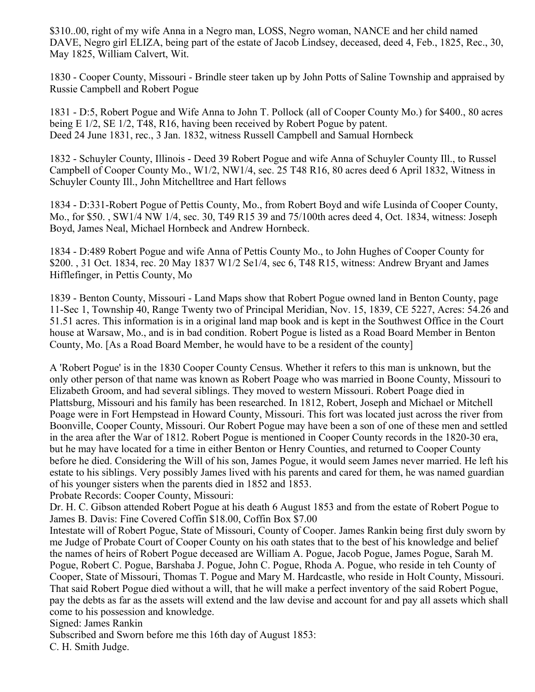\$310..00, right of my wife Anna in a Negro man, LOSS, Negro woman, NANCE and her child named DAVE, Negro girl ELIZA, being part of the estate of Jacob Lindsey, deceased, deed 4, Feb., 1825, Rec., 30, May 1825, William Calvert, Wit.

1830 - Cooper County, Missouri - Brindle steer taken up by John Potts of Saline Township and appraised by Russie Campbell and Robert Pogue

1831 - D:5, Robert Pogue and Wife Anna to John T. Pollock (all of Cooper County Mo.) for \$400., 80 acres being E 1/2, SE 1/2, T48, R16, having been received by Robert Pogue by patent. Deed 24 June 1831, rec., 3 Jan. 1832, witness Russell Campbell and Samual Hornbeck

1832 - Schuyler County, Illinois - Deed 39 Robert Pogue and wife Anna of Schuyler County Ill., to Russel Campbell of Cooper County Mo., W1/2, NW1/4, sec. 25 T48 R16, 80 acres deed 6 April 1832, Witness in Schuyler County Ill., John Mitchelltree and Hart fellows

1834 - D:331-Robert Pogue of Pettis County, Mo., from Robert Boyd and wife Lusinda of Cooper County, Mo., for \$50. , SW1/4 NW 1/4, sec. 30, T49 R15 39 and 75/100th acres deed 4, Oct. 1834, witness: Joseph Boyd, James Neal, Michael Hornbeck and Andrew Hornbeck.

1834 - D:489 Robert Pogue and wife Anna of Pettis County Mo., to John Hughes of Cooper County for \$200. , 31 Oct. 1834, rec. 20 May 1837 W1/2 Se1/4, sec 6, T48 R15, witness: Andrew Bryant and James Hifflefinger, in Pettis County, Mo

1839 - Benton County, Missouri - Land Maps show that Robert Pogue owned land in Benton County, page 11-Sec 1, Township 40, Range Twenty two of Principal Meridian, Nov. 15, 1839, CE 5227, Acres: 54.26 and 51.51 acres. This information is in a original land map book and is kept in the Southwest Office in the Court house at Warsaw, Mo., and is in bad condition. Robert Pogue is listed as a Road Board Member in Benton County, Mo. [As a Road Board Member, he would have to be a resident of the county]

A 'Robert Pogue' is in the 1830 Cooper County Census. Whether it refers to this man is unknown, but the only other person of that name was known as Robert Poage who was married in Boone County, Missouri to Elizabeth Groom, and had several siblings. They moved to western Missouri. Robert Poage died in Plattsburg, Missouri and his family has been researched. In 1812, Robert, Joseph and Michael or Mitchell Poage were in Fort Hempstead in Howard County, Missouri. This fort was located just across the river from Boonville, Cooper County, Missouri. Our Robert Pogue may have been a son of one of these men and settled in the area after the War of 1812. Robert Pogue is mentioned in Cooper County records in the 1820-30 era, but he may have located for a time in either Benton or Henry Counties, and returned to Cooper County before he died. Considering the Will of his son, James Pogue, it would seem James never married. He left his estate to his siblings. Very possibly James lived with his parents and cared for them, he was named guardian of his younger sisters when the parents died in 1852 and 1853.

Probate Records: Cooper County, Missouri:

Dr. H. C. Gibson attended Robert Pogue at his death 6 August 1853 and from the estate of Robert Pogue to James B. Davis: Fine Covered Coffin \$18.00, Coffin Box \$7.00

Intestate will of Robert Pogue, State of Missouri, County of Cooper. James Rankin being first duly sworn by me Judge of Probate Court of Cooper County on his oath states that to the best of his knowledge and belief the names of heirs of Robert Pogue deceased are William A. Pogue, Jacob Pogue, James Pogue, Sarah M. Pogue, Robert C. Pogue, Barshaba J. Pogue, John C. Pogue, Rhoda A. Pogue, who reside in teh County of Cooper, State of Missouri, Thomas T. Pogue and Mary M. Hardcastle, who reside in Holt County, Missouri. That said Robert Pogue died without a will, that he will make a perfect inventory of the said Robert Pogue, pay the debts as far as the assets will extend and the law devise and account for and pay all assets which shall come to his possession and knowledge.

Signed: James Rankin

Subscribed and Sworn before me this 16th day of August 1853:

C. H. Smith Judge.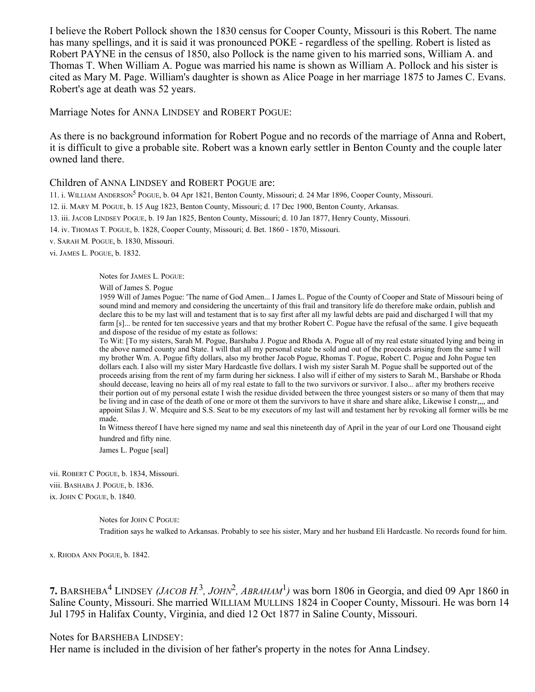I believe the Robert Pollock shown the 1830 census for Cooper County, Missouri is this Robert. The name has many spellings, and it is said it was pronounced POKE - regardless of the spelling. Robert is listed as Robert PAYNE in the census of 1850, also Pollock is the name given to his married sons, William A. and Thomas T. When William A. Pogue was married his name is shown as William A. Pollock and his sister is cited as Mary M. Page. William's daughter is shown as Alice Poage in her marriage 1875 to James C. Evans. Robert's age at death was 52 years.

Marriage Notes for ANNA LINDSEY and ROBERT POGUE:

As there is no background information for Robert Pogue and no records of the marriage of Anna and Robert, it is difficult to give a probable site. Robert was a known early settler in Benton County and the couple later owned land there.

## Children of ANNA LINDSEY and ROBERT POGUE are:

11. i. WILLIAM ANDERSON<sup>5</sup> POGUE, b. 04 Apr 1821, Benton County, Missouri; d. 24 Mar 1896, Cooper County, Missouri.

12. ii. MARY M. POGUE, b. 15 Aug 1823, Benton County, Missouri; d. 17 Dec 1900, Benton County, Arkansas.

13. iii. JACOB LINDSEY POGUE, b. 19 Jan 1825, Benton County, Missouri; d. 10 Jan 1877, Henry County, Missouri.

14. iv. THOMAS T. POGUE, b. 1828, Cooper County, Missouri; d. Bet. 1860 - 1870, Missouri.

v. SARAH M. POGUE, b. 1830, Missouri.

vi. JAMES L. POGUE, b. 1832.

Notes for JAMES L. POGUE:

Will of James S. Pogue

1959 Will of James Pogue: 'The name of God Amen... I James L. Pogue of the County of Cooper and State of Missouri being of sound mind and memory and considering the uncertainty of this frail and transitory life do therefore make ordain, publish and declare this to be my last will and testament that is to say first after all my lawful debts are paid and discharged I will that my farm [s]... be rented for ten successive years and that my brother Robert C. Pogue have the refusal of the same. I give bequeath and dispose of the residue of my estate as follows:

To Wit: [To my sisters, Sarah M. Pogue, Barshaba J. Pogue and Rhoda A. Pogue all of my real estate situated lying and being in the above named county and State. I will that all my personal estate be sold and out of the proceeds arising from the same I will my brother Wm. A. Pogue fifty dollars, also my brother Jacob Pogue, Rhomas T. Pogue, Robert C. Pogue and John Pogue ten dollars each. I also will my sister Mary Hardcastle five dollars. I wish my sister Sarah M. Pogue shall be supported out of the proceeds arising from the rent of my farm during her sickness. I also will if either of my sisters to Sarah M., Barshabe or Rhoda should decease, leaving no heirs all of my real estate to fall to the two survivors or survivor. I also... after my brothers receive their portion out of my personal estate I wish the residue divided between the three youngest sisters or so many of them that may be living and in case of the death of one or more ot them the survivors to have it share and share alike, Likewise I constr,,,, and appoint Silas J. W. Mcquire and S.S. Seat to be my executors of my last will and testament her by revoking all former wills be me made.

In Witness thereof I have here signed my name and seal this nineteenth day of April in the year of our Lord one Thousand eight hundred and fifty nine.

James L. Pogue [seal]

vii. ROBERT C POGUE, b. 1834, Missouri. viii. BASHABA J. POGUE, b. 1836. ix. JOHN C POGUE, b. 1840.

Notes for JOHN C POGUE:

Tradition says he walked to Arkansas. Probably to see his sister, Mary and her husband Eli Hardcastle. No records found for him.

x. RHODA ANN POGUE, b. 1842.

**7.** BARSHEBA<sup>4</sup> LINDSEY *(JACOB H.*<sup>3</sup>, *JOHN*<sup>2</sup>, *ABRAHAM*<sup>1</sup>) was born 1806 in Georgia, and died 09 Apr 1860 in Saline County, Missouri. She married WILLIAM MULLINS 1824 in Cooper County, Missouri. He was born 14 Jul 1795 in Halifax County, Virginia, and died 12 Oct 1877 in Saline County, Missouri.

Notes for BARSHEBA LINDSEY:

Her name is included in the division of her father's property in the notes for Anna Lindsey.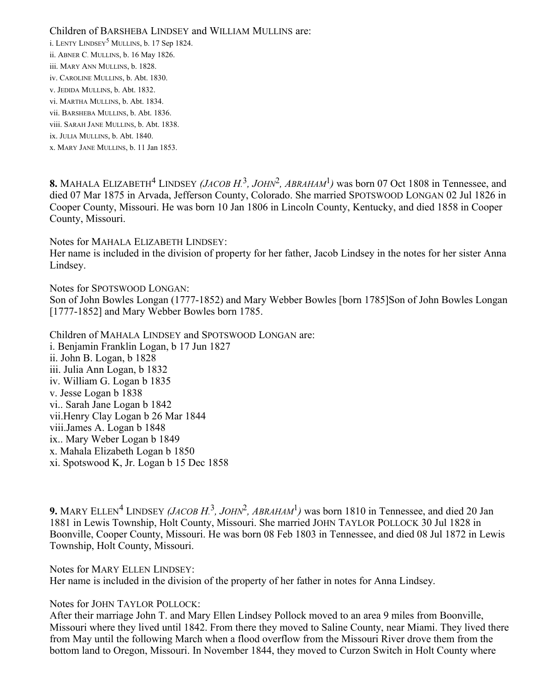Children of BARSHEBA LINDSEY and WILLIAM MULLINS are: i. LENTY LINDSEY<sup>5</sup> MULLINS, b. 17 Sep 1824. ii. ABNER C. MULLINS, b. 16 May 1826. iii. MARY ANN MULLINS, b. 1828. iv. CAROLINE MULLINS, b. Abt. 1830. v. JEDIDA MULLINS, b. Abt. 1832. vi. MARTHA MULLINS, b. Abt. 1834. vii. BARSHEBA MULLINS, b. Abt. 1836. viii. SARAH JANE MULLINS, b. Abt. 1838. ix. JULIA MULLINS, b. Abt. 1840. x. MARY JANE MULLINS, b. 11 Jan 1853.

8. MAHALA ELIZABETH<sup>4</sup> LINDSEY *(JACOB H.*<sup>3</sup>, *JOHN*<sup>2</sup>, *ABRAHAM*<sup>1</sup>) was born 07 Oct 1808 in Tennessee, and died 07 Mar 1875 in Arvada, Jefferson County, Colorado. She married SPOTSWOOD LONGAN 02 Jul 1826 in Cooper County, Missouri. He was born 10 Jan 1806 in Lincoln County, Kentucky, and died 1858 in Cooper County, Missouri.

Notes for MAHALA ELIZABETH LINDSEY:

Her name is included in the division of property for her father, Jacob Lindsey in the notes for her sister Anna Lindsey.

Notes for SPOTSWOOD LONGAN: Son of John Bowles Longan (1777-1852) and Mary Webber Bowles [born 1785]Son of John Bowles Longan [1777-1852] and Mary Webber Bowles born 1785.

Children of MAHALA LINDSEY and SPOTSWOOD LONGAN are: i. Benjamin Franklin Logan, b 17 Jun 1827 ii. John B. Logan, b 1828 iii. Julia Ann Logan, b 1832 iv. William G. Logan b 1835 v. Jesse Logan b 1838 vi.. Sarah Jane Logan b 1842 vii.Henry Clay Logan b 26 Mar 1844 viii.James A. Logan b 1848 ix.. Mary Weber Logan b 1849 x. Mahala Elizabeth Logan b 1850 xi. Spotswood K, Jr. Logan b 15 Dec 1858

**9.** MARY ELLEN<sup>4</sup> LINDSEY *(JACOB H.*<sup>3</sup>, *JOHN*<sup>2</sup>, *ABRAHAM*<sup>1</sup>) was born 1810 in Tennessee, and died 20 Jan 1881 in Lewis Township, Holt County, Missouri. She married JOHN TAYLOR POLLOCK 30 Jul 1828 in Boonville, Cooper County, Missouri. He was born 08 Feb 1803 in Tennessee, and died 08 Jul 1872 in Lewis Township, Holt County, Missouri.

Notes for MARY ELLEN LINDSEY: Her name is included in the division of the property of her father in notes for Anna Lindsey.

Notes for JOHN TAYLOR POLLOCK:

After their marriage John T. and Mary Ellen Lindsey Pollock moved to an area 9 miles from Boonville, Missouri where they lived until 1842. From there they moved to Saline County, near Miami. They lived there from May until the following March when a flood overflow from the Missouri River drove them from the bottom land to Oregon, Missouri. In November 1844, they moved to Curzon Switch in Holt County where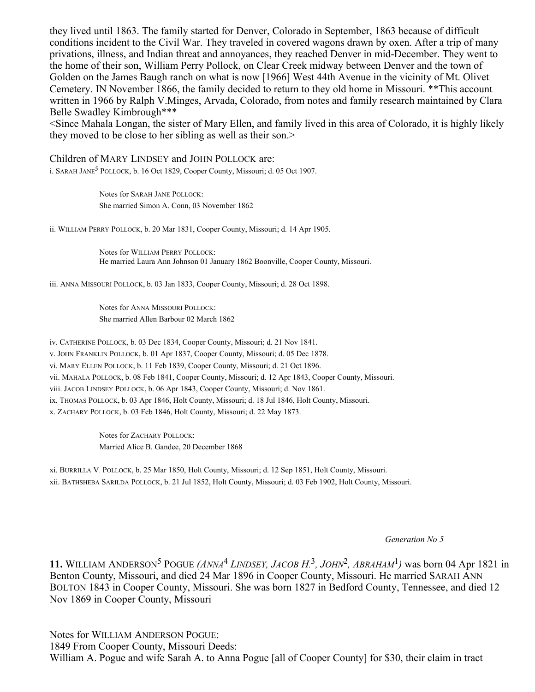they lived until 1863. The family started for Denver, Colorado in September, 1863 because of difficult conditions incident to the Civil War. They traveled in covered wagons drawn by oxen. After a trip of many privations, illness, and Indian threat and annoyances, they reached Denver in mid-December. They went to the home of their son, William Perry Pollock, on Clear Creek midway between Denver and the town of Golden on the James Baugh ranch on what is now [1966] West 44th Avenue in the vicinity of Mt. Olivet Cemetery. IN November 1866, the family decided to return to they old home in Missouri. \*\*This account written in 1966 by Ralph V.Minges, Arvada, Colorado, from notes and family research maintained by Clara Belle Swadley Kimbrough\*\*\*

<Since Mahala Longan, the sister of Mary Ellen, and family lived in this area of Colorado, it is highly likely they moved to be close to her sibling as well as their son.>

#### Children of MARY LINDSEY and JOHN POLLOCK are:

i. SARAH JANE<sup>5</sup> POLLOCK, b. 16 Oct 1829, Cooper County, Missouri; d. 05 Oct 1907.

Notes for SARAH JANE POLLOCK: She married Simon A. Conn, 03 November 1862

ii. WILLIAM PERRY POLLOCK, b. 20 Mar 1831, Cooper County, Missouri; d. 14 Apr 1905.

Notes for WILLIAM PERRY POLLOCK: He married Laura Ann Johnson 01 January 1862 Boonville, Cooper County, Missouri.

iii. ANNA MISSOURI POLLOCK, b. 03 Jan 1833, Cooper County, Missouri; d. 28 Oct 1898.

Notes for ANNA MISSOURI POLLOCK: She married Allen Barbour 02 March 1862

iv. CATHERINE POLLOCK, b. 03 Dec 1834, Cooper County, Missouri; d. 21 Nov 1841. v. JOHN FRANKLIN POLLOCK, b. 01 Apr 1837, Cooper County, Missouri; d. 05 Dec 1878. vi. MARY ELLEN POLLOCK, b. 11 Feb 1839, Cooper County, Missouri; d. 21 Oct 1896. vii. MAHALA POLLOCK, b. 08 Feb 1841, Cooper County, Missouri; d. 12 Apr 1843, Cooper County, Missouri. viii. JACOB LINDSEY POLLOCK, b. 06 Apr 1843, Cooper County, Missouri; d. Nov 1861. ix. THOMAS POLLOCK, b. 03 Apr 1846, Holt County, Missouri; d. 18 Jul 1846, Holt County, Missouri. x. ZACHARY POLLOCK, b. 03 Feb 1846, Holt County, Missouri; d. 22 May 1873.

> Notes for ZACHARY POLLOCK: Married Alice B. Gandee, 20 December 1868

xi. BURRILLA V. POLLOCK, b. 25 Mar 1850, Holt County, Missouri; d. 12 Sep 1851, Holt County, Missouri. xii. BATHSHEBA SARILDA POLLOCK, b. 21 Jul 1852, Holt County, Missouri; d. 03 Feb 1902, Holt County, Missouri.

*Generation No 5*

**11.** WILLIAM ANDERSON<sup>5</sup> POGUE  $(ANNA<sup>4</sup> LINDSET, JACOB H<sup>3</sup>, JOHN<sup>2</sup>, ABRAHAM<sup>1</sup>)$  was born 04 Apr 1821 in Benton County, Missouri, and died 24 Mar 1896 in Cooper County, Missouri. He married SARAH ANN BOLTON 1843 in Cooper County, Missouri. She was born 1827 in Bedford County, Tennessee, and died 12 Nov 1869 in Cooper County, Missouri

Notes for WILLIAM ANDERSON POGUE: 1849 From Cooper County, Missouri Deeds: William A. Pogue and wife Sarah A. to Anna Pogue [all of Cooper County] for \$30, their claim in tract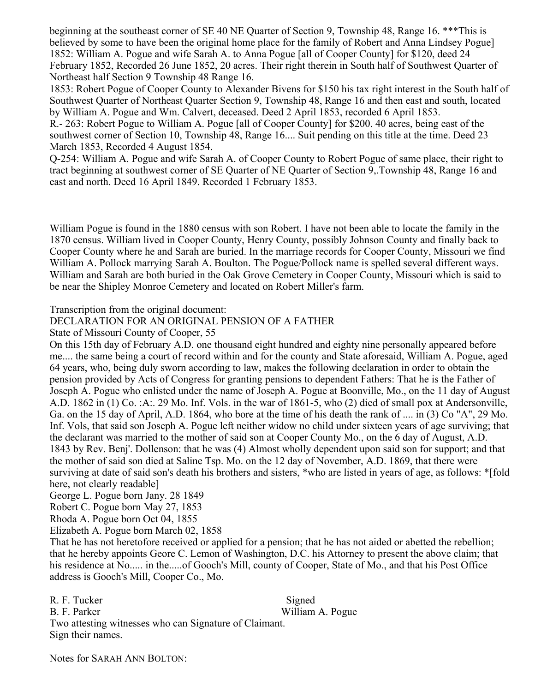beginning at the southeast corner of SE 40 NE Quarter of Section 9, Township 48, Range 16. \*\*\*This is believed by some to have been the original home place for the family of Robert and Anna Lindsey Pogue] 1852: William A. Pogue and wife Sarah A. to Anna Pogue [all of Cooper County] for \$120, deed 24 February 1852, Recorded 26 June 1852, 20 acres. Their right therein in South half of Southwest Quarter of Northeast half Section 9 Township 48 Range 16.

1853: Robert Pogue of Cooper County to Alexander Bivens for \$150 his tax right interest in the South half of Southwest Quarter of Northeast Quarter Section 9, Township 48, Range 16 and then east and south, located by William A. Pogue and Wm. Calvert, deceased. Deed 2 April 1853, recorded 6 April 1853.

R.- 263: Robert Pogue to William A. Pogue [all of Cooper County] for \$200. 40 acres, being east of the southwest corner of Section 10, Township 48, Range 16.... Suit pending on this title at the time. Deed 23 March 1853, Recorded 4 August 1854.

Q-254: William A. Pogue and wife Sarah A. of Cooper County to Robert Pogue of same place, their right to tract beginning at southwest corner of SE Quarter of NE Quarter of Section 9,.Township 48, Range 16 and east and north. Deed 16 April 1849. Recorded 1 February 1853.

William Pogue is found in the 1880 census with son Robert. I have not been able to locate the family in the 1870 census. William lived in Cooper County, Henry County, possibly Johnson County and finally back to Cooper County where he and Sarah are buried. In the marriage records for Cooper County, Missouri we find William A. Pollock marrying Sarah A. Boulton. The Pogue/Pollock name is spelled several different ways. William and Sarah are both buried in the Oak Grove Cemetery in Cooper County, Missouri which is said to be near the Shipley Monroe Cemetery and located on Robert Miller's farm.

Transcription from the original document:

# DECLARATION FOR AN ORIGINAL PENSION OF A FATHER

State of Missouri County of Cooper, 55

On this 15th day of February A.D. one thousand eight hundred and eighty nine personally appeared before me.... the same being a court of record within and for the county and State aforesaid, William A. Pogue, aged 64 years, who, being duly sworn according to law, makes the following declaration in order to obtain the pension provided by Acts of Congress for granting pensions to dependent Fathers: That he is the Father of Joseph A. Pogue who enlisted under the name of Joseph A. Pogue at Boonville, Mo., on the 11 day of August A.D. 1862 in (1) Co. :A:. 29 Mo. Inf. Vols. in the war of 1861-5, who (2) died of small pox at Andersonville, Ga. on the 15 day of April, A.D. 1864, who bore at the time of his death the rank of .... in (3) Co "A", 29 Mo. Inf. Vols, that said son Joseph A. Pogue left neither widow no child under sixteen years of age surviving; that the declarant was married to the mother of said son at Cooper County Mo., on the 6 day of August, A.D. 1843 by Rev. Benj'. Dollenson: that he was (4) Almost wholly dependent upon said son for support; and that the mother of said son died at Saline Tsp. Mo. on the 12 day of November, A.D. 1869, that there were surviving at date of said son's death his brothers and sisters, \*who are listed in years of age, as follows: \*[fold here, not clearly readable]

George L. Pogue born Jany. 28 1849

Robert C. Pogue born May 27, 1853

Rhoda A. Pogue born Oct 04, 1855

Elizabeth A. Pogue born March 02, 1858

That he has not heretofore received or applied for a pension; that he has not aided or abetted the rebellion; that he hereby appoints Geore C. Lemon of Washington, D.C. his Attorney to present the above claim; that his residence at No..... in the.....of Gooch's Mill, county of Cooper, State of Mo., and that his Post Office address is Gooch's Mill, Cooper Co., Mo.

R. F. Tucker Signed B. F. Parker William A. Pogue Two attesting witnesses who can Signature of Claimant. Sign their names.

Notes for SARAH ANN BOLTON: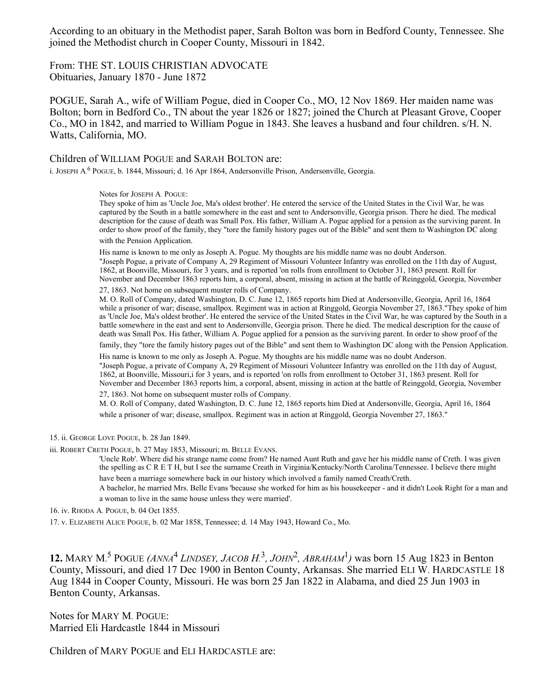According to an obituary in the Methodist paper, Sarah Bolton was born in Bedford County, Tennessee. She joined the Methodist church in Cooper County, Missouri in 1842.

From: THE ST. LOUIS CHRISTIAN ADVOCATE Obituaries, January 1870 - June 1872

POGUE, Sarah A., wife of William Pogue, died in Cooper Co., MO, 12 Nov 1869. Her maiden name was Bolton; born in Bedford Co., TN about the year 1826 or 1827; joined the Church at Pleasant Grove, Cooper Co., MO in 1842, and married to William Pogue in 1843. She leaves a husband and four children. s/H. N. Watts, California, MO.

Children of WILLIAM POGUE and SARAH BOLTON are:

i. JOSEPH A. 6 POGUE, b. 1844, Missouri; d. 16 Apr 1864, Andersonville Prison, Andersonville, Georgia.

Notes for JOSEPH A. POGUE:

They spoke of him as 'Uncle Joe, Ma's oldest brother'. He entered the service of the United States in the Civil War, he was captured by the South in a battle somewhere in the east and sent to Andersonville, Georgia prison. There he died. The medical description for the cause of death was Small Pox. His father, William A. Pogue applied for a pension as the surviving parent. In order to show proof of the family, they "tore the family history pages out of the Bible" and sent them to Washington DC along with the Pension Application.

His name is known to me only as Joseph A. Pogue. My thoughts are his middle name was no doubt Anderson. "Joseph Pogue, a private of Company A, 29 Regiment of Missouri Volunteer Infantry was enrolled on the 11th day of August, 1862, at Boonville, Missouri, for 3 years, and is reported 'on rolls from enrollment to October 31, 1863 present. Roll for November and December 1863 reports him, a corporal, absent, missing in action at the battle of Reinggold, Georgia, November 27, 1863. Not home on subsequent muster rolls of Company.

M. O. Roll of Company, dated Washington, D. C. June 12, 1865 reports him Died at Andersonville, Georgia, April 16, 1864 while a prisoner of war; disease, smallpox. Regiment was in action at Ringgold, Georgia November 27, 1863."They spoke of him as 'Uncle Joe, Ma's oldest brother'. He entered the service of the United States in the Civil War, he was captured by the South in a battle somewhere in the east and sent to Andersonville, Georgia prison. There he died. The medical description for the cause of death was Small Pox. His father, William A. Pogue applied for a pension as the surviving parent. In order to show proof of the

family, they "tore the family history pages out of the Bible" and sent them to Washington DC along with the Pension Application.

His name is known to me only as Joseph A. Pogue. My thoughts are his middle name was no doubt Anderson. "Joseph Pogue, a private of Company A, 29 Regiment of Missouri Volunteer Infantry was enrolled on the 11th day of August, 1862, at Boonville, Missouri,i for 3 years, and is reported 'on rolls from enrollment to October 31, 1863 present. Roll for November and December 1863 reports him, a corporal, absent, missing in action at the battle of Reinggold, Georgia, November

27, 1863. Not home on subsequent muster rolls of Company.

M. O. Roll of Company, dated Washington, D. C. June 12, 1865 reports him Died at Andersonville, Georgia, April 16, 1864 while a prisoner of war; disease, smallpox. Regiment was in action at Ringgold, Georgia November 27, 1863."

15. ii. GEORGE LOVE POGUE, b. 28 Jan 1849.

iii. ROBERT CRETH POGUE, b. 27 May 1853, Missouri; m. BELLE EVANS.

'Uncle Rob'. Where did his strange name come from? He named Aunt Ruth and gave her his middle name of Creth. I was given the spelling as C R E T H, but I see the surname Creath in Virginia/Kentucky/North Carolina/Tennessee. I believe there might have been a marriage somewhere back in our history which involved a family named Creath/Creth.

A bachelor, he married Mrs. Belle Evans 'because she worked for him as his housekeeper - and it didn't Look Right for a man and a woman to live in the same house unless they were married'.

16. iv. RHODA A. POGUE, b. 04 Oct 1855.

17. v. ELIZABETH ALICE POGUE, b. 02 Mar 1858, Tennessee; d. 14 May 1943, Howard Co., Mo.

**12.** MARY M.<sup>5</sup> POGUE *(ANNA<sup>4</sup> LINDSEY, JACOB H.*<sup>3</sup>, *JOHN*<sup>2</sup>, *ABRAHAM*<sup>1</sup>) was born 15 Aug 1823 in Benton County, Missouri, and died 17 Dec 1900 in Benton County, Arkansas. She married ELI W. HARDCASTLE 18 Aug 1844 in Cooper County, Missouri. He was born 25 Jan 1822 in Alabama, and died 25 Jun 1903 in Benton County, Arkansas.

Notes for MARY M. POGUE: Married Eli Hardcastle 1844 in Missouri

Children of MARY POGUE and ELI HARDCASTLE are: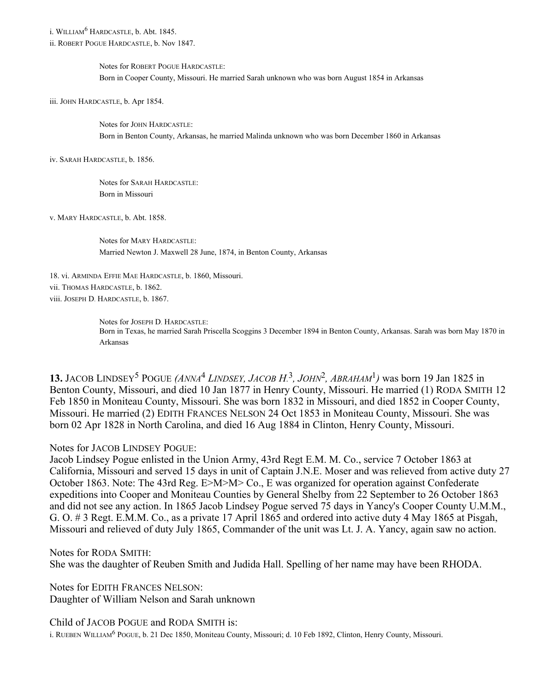i. WILLIAM 6 HARDCASTLE, b. Abt. 1845.

ii. ROBERT POGUE HARDCASTLE, b. Nov 1847.

Notes for ROBERT POGUE HARDCASTLE: Born in Cooper County, Missouri. He married Sarah unknown who was born August 1854 in Arkansas

iii. JOHN HARDCASTLE, b. Apr 1854.

Notes for JOHN HARDCASTLE: Born in Benton County, Arkansas, he married Malinda unknown who was born December 1860 in Arkansas

iv. SARAH HARDCASTLE, b. 1856.

Notes for SARAH HARDCASTLE: Born in Missouri

v. MARY HARDCASTLE, b. Abt. 1858.

Notes for MARY HARDCASTLE: Married Newton J. Maxwell 28 June, 1874, in Benton County, Arkansas

18. vi. ARMINDA EFFIE MAE HARDCASTLE, b. 1860, Missouri. vii. THOMAS HARDCASTLE, b. 1862. viii. JOSEPH D. HARDCASTLE, b. 1867.

> Notes for JOSEPH D. HARDCASTLE: Born in Texas, he married Sarah Priscella Scoggins 3 December 1894 in Benton County, Arkansas. Sarah was born May 1870 in Arkansas

**13.** JACOB LINDSEY<sup>5</sup> POGUE  $(ANNA<sup>4</sup>$  LINDSEY, JACOB H.<sup>3</sup>, JOHN<sup>2</sup>, ABRAHAM<sup>1</sup>) was born 19 Jan 1825 in Benton County, Missouri, and died 10 Jan 1877 in Henry County, Missouri. He married (1) RODA SMITH 12 Feb 1850 in Moniteau County, Missouri. She was born 1832 in Missouri, and died 1852 in Cooper County, Missouri. He married (2) EDITH FRANCES NELSON 24 Oct 1853 in Moniteau County, Missouri. She was born 02 Apr 1828 in North Carolina, and died 16 Aug 1884 in Clinton, Henry County, Missouri.

Notes for JACOB LINDSEY POGUE:

Jacob Lindsey Pogue enlisted in the Union Army, 43rd Regt E.M. M. Co., service 7 October 1863 at California, Missouri and served 15 days in unit of Captain J.N.E. Moser and was relieved from active duty 27 October 1863. Note: The 43rd Reg. E>M>M> Co., E was organized for operation against Confederate expeditions into Cooper and Moniteau Counties by General Shelby from 22 September to 26 October 1863 and did not see any action. In 1865 Jacob Lindsey Pogue served 75 days in Yancy's Cooper County U.M.M., G. O. # 3 Regt. E.M.M. Co., as a private 17 April 1865 and ordered into active duty 4 May 1865 at Pisgah, Missouri and relieved of duty July 1865, Commander of the unit was Lt. J. A. Yancy, again saw no action.

Notes for RODA SMITH: She was the daughter of Reuben Smith and Judida Hall. Spelling of her name may have been RHODA.

Notes for EDITH FRANCES NELSON: Daughter of William Nelson and Sarah unknown

Child of JACOB POGUE and RODA SMITH is: i. RUEBEN WILLIAM 6 POGUE, b. 21 Dec 1850, Moniteau County, Missouri; d. 10 Feb 1892, Clinton, Henry County, Missouri.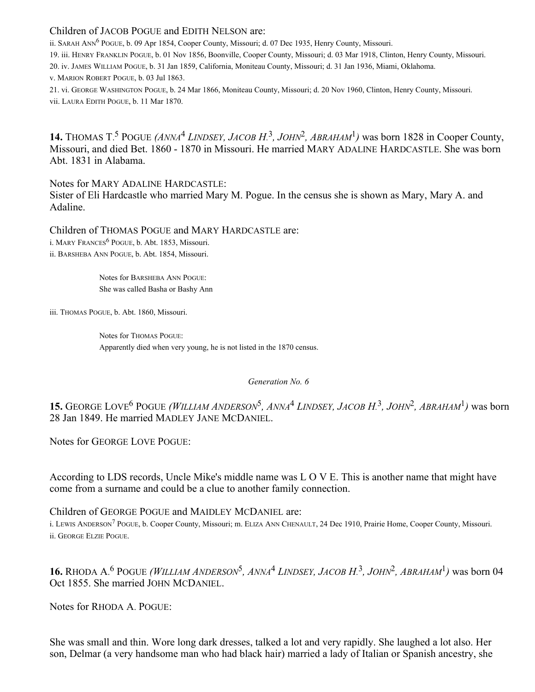# Children of JACOB POGUE and EDITH NELSON are:

ii. SARAH ANN<sup>6</sup> POGUE, b. 09 Apr 1854, Cooper County, Missouri; d. 07 Dec 1935, Henry County, Missouri.

19. iii. HENRY FRANKLIN POGUE, b. 01 Nov 1856, Boonville, Cooper County, Missouri; d. 03 Mar 1918, Clinton, Henry County, Missouri.

20. iv. JAMES WILLIAM POGUE, b. 31 Jan 1859, California, Moniteau County, Missouri; d. 31 Jan 1936, Miami, Oklahoma.

v. MARION ROBERT POGUE, b. 03 Jul 1863.

21. vi. GEORGE WASHINGTON POGUE, b. 24 Mar 1866, Moniteau County, Missouri; d. 20 Nov 1960, Clinton, Henry County, Missouri. vii. LAURA EDITH POGUE, b. 11 Mar 1870.

**14.** THOMAS T.<sup>5</sup> POGUE (ANNA<sup>4</sup> LINDSEY, JACOB H.<sup>3</sup>, JOHN<sup>2</sup>, ABRAHAM<sup>1</sup>) was born 1828 in Cooper County, Missouri, and died Bet. 1860 - 1870 in Missouri. He married MARY ADALINE HARDCASTLE. She was born Abt. 1831 in Alabama.

Notes for MARY ADALINE HARDCASTLE:

Sister of Eli Hardcastle who married Mary M. Pogue. In the census she is shown as Mary, Mary A. and Adaline.

Children of THOMAS POGUE and MARY HARDCASTLE are:

 $i.$  MARY FRANCES<sup>6</sup> POGUE, b. Abt. 1853, Missouri.

ii. BARSHEBA ANN POGUE, b. Abt. 1854, Missouri.

Notes for BARSHEBA ANN POGUE: She was called Basha or Bashy Ann

iii. THOMAS POGUE, b. Abt. 1860, Missouri.

Notes for THOMAS POGUE: Apparently died when very young, he is not listed in the 1870 census.

*Generation No. 6*

**15.** GEORGE LOVE<sup>6</sup> POGUE (WILLIAM ANDERSON<sup>5</sup>, ANNA<sup>4</sup> LINDSEY, JACOB H.<sup>3</sup>, JOHN<sup>2</sup>, ABRAHAM<sup>1</sup>) was born 28 Jan 1849. He married MADLEY JANE MCDANIEL.

Notes for GEORGE LOVE POGUE:

According to LDS records, Uncle Mike's middle name was L O V E. This is another name that might have come from a surname and could be a clue to another family connection.

Children of GEORGE POGUE and MAIDLEY MCDANIEL are:

i. LEWIS ANDERSON<sup>7</sup> POGUE, b. Cooper County, Missouri; m. ELIZA ANN CHENAULT, 24 Dec 1910, Prairie Home, Cooper County, Missouri. ii. GEORGE ELZIE POGUE.

**16.** RHODA A.<sup>6</sup> POGUE (WILLIAM ANDERSON<sup>5</sup>, ANNA<sup>4</sup> LINDSEY, JACOB H.<sup>3</sup>, JOHN<sup>2</sup>, ABRAHAM<sup>1</sup>) was born 04 Oct 1855. She married JOHN MCDANIEL.

Notes for RHODA A. POGUE:

She was small and thin. Wore long dark dresses, talked a lot and very rapidly. She laughed a lot also. Her son, Delmar (a very handsome man who had black hair) married a lady of Italian or Spanish ancestry, she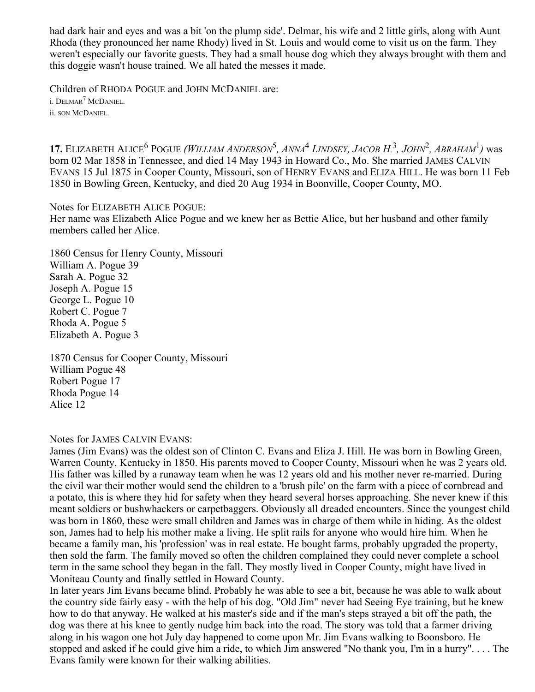had dark hair and eyes and was a bit 'on the plump side'. Delmar, his wife and 2 little girls, along with Aunt Rhoda (they pronounced her name Rhody) lived in St. Louis and would come to visit us on the farm. They weren't especially our favorite guests. They had a small house dog which they always brought with them and this doggie wasn't house trained. We all hated the messes it made.

Children of RHODA POGUE and JOHN MCDANIEL are: i. Delmar<sup>7</sup> McDaniel. ii. SON MCDANIEL.

**17.** ELIZABETH ALICE<sup>6</sup> POGUE (WILLIAM ANDERSON<sup>5</sup>, ANNA<sup>4</sup> LINDSEY, JACOB H.<sup>3</sup>, JOHN<sup>2</sup>, ABRAHAM<sup>1</sup>) was born 02 Mar 1858 in Tennessee, and died 14 May 1943 in Howard Co., Mo. She married JAMES CALVIN EVANS 15 Jul 1875 in Cooper County, Missouri, son of HENRY EVANS and ELIZA HILL. He was born 11 Feb 1850 in Bowling Green, Kentucky, and died 20 Aug 1934 in Boonville, Cooper County, MO.

Notes for ELIZABETH ALICE POGUE:

Her name was Elizabeth Alice Pogue and we knew her as Bettie Alice, but her husband and other family members called her Alice.

1860 Census for Henry County, Missouri William A. Pogue 39 Sarah A. Pogue 32 Joseph A. Pogue 15 George L. Pogue 10 Robert C. Pogue 7 Rhoda A. Pogue 5 Elizabeth A. Pogue 3

1870 Census for Cooper County, Missouri William Pogue 48 Robert Pogue 17 Rhoda Pogue 14 Alice 12

Notes for JAMES CALVIN EVANS:

James (Jim Evans) was the oldest son of Clinton C. Evans and Eliza J. Hill. He was born in Bowling Green, Warren County, Kentucky in 1850. His parents moved to Cooper County, Missouri when he was 2 years old. His father was killed by a runaway team when he was 12 years old and his mother never re-married. During the civil war their mother would send the children to a 'brush pile' on the farm with a piece of cornbread and a potato, this is where they hid for safety when they heard several horses approaching. She never knew if this meant soldiers or bushwhackers or carpetbaggers. Obviously all dreaded encounters. Since the youngest child was born in 1860, these were small children and James was in charge of them while in hiding. As the oldest son, James had to help his mother make a living. He split rails for anyone who would hire him. When he became a family man, his 'profession' was in real estate. He bought farms, probably upgraded the property, then sold the farm. The family moved so often the children complained they could never complete a school term in the same school they began in the fall. They mostly lived in Cooper County, might have lived in Moniteau County and finally settled in Howard County.

In later years Jim Evans became blind. Probably he was able to see a bit, because he was able to walk about the country side fairly easy - with the help of his dog. "Old Jim" never had Seeing Eye training, but he knew how to do that anyway. He walked at his master's side and if the man's steps strayed a bit off the path, the dog was there at his knee to gently nudge him back into the road. The story was told that a farmer driving along in his wagon one hot July day happened to come upon Mr. Jim Evans walking to Boonsboro. He stopped and asked if he could give him a ride, to which Jim answered "No thank you, I'm in a hurry". . . . The Evans family were known for their walking abilities.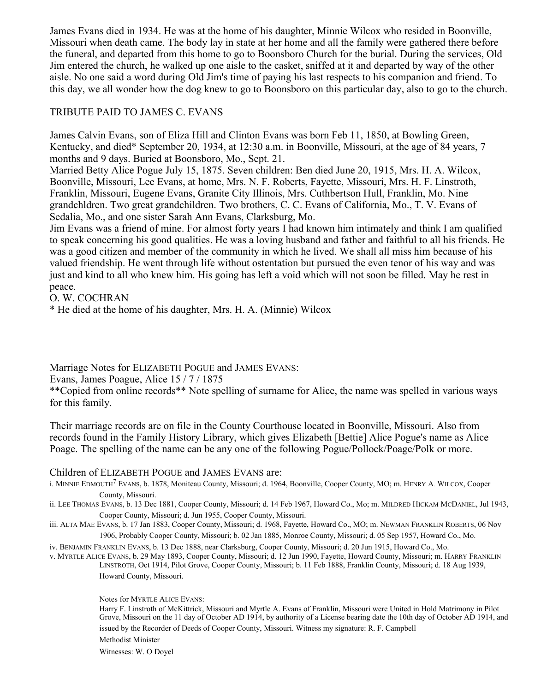James Evans died in 1934. He was at the home of his daughter, Minnie Wilcox who resided in Boonville, Missouri when death came. The body lay in state at her home and all the family were gathered there before the funeral, and departed from this home to go to Boonsboro Church for the burial. During the services, Old Jim entered the church, he walked up one aisle to the casket, sniffed at it and departed by way of the other aisle. No one said a word during Old Jim's time of paying his last respects to his companion and friend. To this day, we all wonder how the dog knew to go to Boonsboro on this particular day, also to go to the church.

# TRIBUTE PAID TO JAMES C. EVANS

James Calvin Evans, son of Eliza Hill and Clinton Evans was born Feb 11, 1850, at Bowling Green, Kentucky, and died\* September 20, 1934, at 12:30 a.m. in Boonville, Missouri, at the age of 84 years, 7 months and 9 days. Buried at Boonsboro, Mo., Sept. 21.

Married Betty Alice Pogue July 15, 1875. Seven children: Ben died June 20, 1915, Mrs. H. A. Wilcox, Boonville, Missouri, Lee Evans, at home, Mrs. N. F. Roberts, Fayette, Missouri, Mrs. H. F. Linstroth, Franklin, Missouri, Eugene Evans, Granite City Illinois, Mrs. Cuthbertson Hull, Franklin, Mo. Nine grandchldren. Two great grandchildren. Two brothers, C. C. Evans of California, Mo., T. V. Evans of Sedalia, Mo., and one sister Sarah Ann Evans, Clarksburg, Mo.

Jim Evans was a friend of mine. For almost forty years I had known him intimately and think I am qualified to speak concerning his good qualities. He was a loving husband and father and faithful to all his friends. He was a good citizen and member of the community in which he lived. We shall all miss him because of his valued friendship. He went through life without ostentation but pursued the even tenor of his way and was just and kind to all who knew him. His going has left a void which will not soon be filled. May he rest in peace.

O. W. COCHRAN

\* He died at the home of his daughter, Mrs. H. A. (Minnie) Wilcox

Marriage Notes for ELIZABETH POGUE and JAMES EVANS:

Evans, James Poague, Alice 15 / 7 / 1875

\*\*Copied from online records\*\* Note spelling of surname for Alice, the name was spelled in various ways for this family.

Their marriage records are on file in the County Courthouse located in Boonville, Missouri. Also from records found in the Family History Library, which gives Elizabeth [Bettie] Alice Pogue's name as Alice Poage. The spelling of the name can be any one of the following Pogue/Pollock/Poage/Polk or more.

# Children of ELIZABETH POGUE and JAMES EVANS are:

i. MINNIE EDMOUTH<sup>7</sup> EVANS, b. 1878, Moniteau County, Missouri; d. 1964, Boonville, Cooper County, MO; m. HENRY A. WILCOX, Cooper County, Missouri.

- ii. LEE THOMAS EVANS, b. 13 Dec 1881, Cooper County, Missouri; d. 14 Feb 1967, Howard Co., Mo; m. MILDRED HICKAM MCDANIEL, Jul 1943, Cooper County, Missouri; d. Jun 1955, Cooper County, Missouri.
- iii. ALTA MAE EVANS, b. 17 Jan 1883, Cooper County, Missouri; d. 1968, Fayette, Howard Co., MO; m. NEWMAN FRANKLIN ROBERTS, 06 Nov 1906, Probably Cooper County, Missouri; b. 02 Jan 1885, Monroe County, Missouri; d. 05 Sep 1957, Howard Co., Mo.

iv. BENJAMIN FRANKLIN EVANS, b. 13 Dec 1888, near Clarksburg, Cooper County, Missouri; d. 20 Jun 1915, Howard Co., Mo.

v. MYRTLE ALICE EVANS, b. 29 May 1893, Cooper County, Missouri; d. 12 Jun 1990, Fayette, Howard County, Missouri; m. HARRY FRANKLIN LINSTROTH, Oct 1914, Pilot Grove, Cooper County, Missouri; b. 11 Feb 1888, Franklin County, Missouri; d. 18 Aug 1939, Howard County, Missouri.

Notes for MYRTLE ALICE EVANS:

Harry F. Linstroth of McKittrick, Missouri and Myrtle A. Evans of Franklin, Missouri were United in Hold Matrimony in Pilot Grove, Missouri on the 11 day of October AD 1914, by authority of a License bearing date the 10th day of October AD 1914, and issued by the Recorder of Deeds of Cooper County, Missouri. Witness my signature: R. F. Campbell

Methodist Minister

Witnesses: W. O Doyel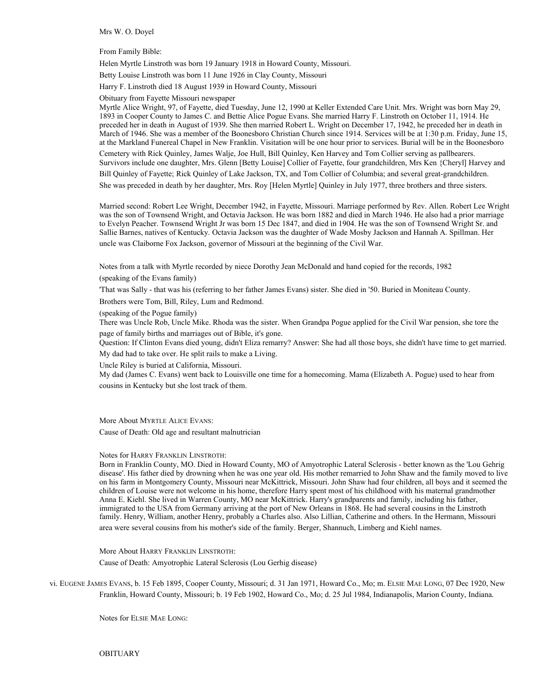Mrs W. O. Doyel

From Family Bible:

Helen Myrtle Linstroth was born 19 January 1918 in Howard County, Missouri.

Betty Louise Linstroth was born 11 June 1926 in Clay County, Missouri

Harry F. Linstroth died 18 August 1939 in Howard County, Missouri

Obituary from Fayette Missouri newspaper

Myrtle Alice Wright, 97, of Fayette, died Tuesday, June 12, 1990 at Keller Extended Care Unit. Mrs. Wright was born May 29, 1893 in Cooper County to James C. and Bettie Alice Pogue Evans. She married Harry F. Linstroth on October 11, 1914. He preceded her in death in August of 1939. She then married Robert L. Wright on December 17, 1942, he preceded her in death in March of 1946. She was a member of the Boonesboro Christian Church since 1914. Services will be at 1:30 p.m. Friday, June 15, at the Markland Funereal Chapel in New Franklin. Visitation will be one hour prior to services. Burial will be in the Boonesboro

Cemetery with Rick Quinley, James Walje, Joe Hull, Bill Quinley, Ken Harvey and Tom Collier serving as pallbearers. Survivors include one daughter, Mrs. Glenn [Betty Louise] Collier of Fayette, four grandchildren, Mrs Ken {Cheryl] Harvey and

Bill Quinley of Fayette; Rick Quinley of Lake Jackson, TX, and Tom Collier of Columbia; and several great-grandchildren.

She was preceded in death by her daughter, Mrs. Roy [Helen Myrtle] Quinley in July 1977, three brothers and three sisters.

Married second: Robert Lee Wright, December 1942, in Fayette, Missouri. Marriage performed by Rev. Allen. Robert Lee Wright was the son of Townsend Wright, and Octavia Jackson. He was born 1882 and died in March 1946. He also had a prior marriage to Evelyn Peacher. Townsend Wright Jr was born 15 Dec 1847, and died in 1904. He was the son of Townsend Wright Sr. and Sallie Barnes, natives of Kentucky. Octavia Jackson was the daughter of Wade Mosby Jackson and Hannah A. Spillman. Her uncle was Claiborne Fox Jackson, governor of Missouri at the beginning of the Civil War.

Notes from a talk with Myrtle recorded by niece Dorothy Jean McDonald and hand copied for the records, 1982

(speaking of the Evans family)

'That was Sally - that was his (referring to her father James Evans) sister. She died in '50. Buried in Moniteau County.

Brothers were Tom, Bill, Riley, Lum and Redmond.

(speaking of the Pogue family)

There was Uncle Rob, Uncle Mike. Rhoda was the sister. When Grandpa Pogue applied for the Civil War pension, she tore the page of family births and marriages out of Bible, it's gone.

Question: If Clinton Evans died young, didn't Eliza remarry? Answer: She had all those boys, she didn't have time to get married. My dad had to take over. He split rails to make a Living.

Uncle Riley is buried at California, Missouri.

My dad (James C. Evans) went back to Louisville one time for a homecoming. Mama (Elizabeth A. Pogue) used to hear from cousins in Kentucky but she lost track of them.

More About MYRTLE ALICE EVANS: Cause of Death: Old age and resultant malnutrician

Notes for HARRY FRANKLIN LINSTROTH:

Born in Franklin County, MO. Died in Howard County, MO of Amyotrophic Lateral Sclerosis - better known as the 'Lou Gehrig disease'. His father died by drowning when he was one year old. His mother remarried to John Shaw and the family moved to live on his farm in Montgomery County, Missouri near McKittrick, Missouri. John Shaw had four children, all boys and it seemed the children of Louise were not welcome in his home, therefore Harry spent most of his childhood with his maternal grandmother Anna E. Kiehl. She lived in Warren County, MO near McKittrick. Harry's grandparents and family, including his father, immigrated to the USA from Germany arriving at the port of New Orleans in 1868. He had several cousins in the Linstroth family. Henry, William, another Henry, probably a Charles also. Also Lillian, Catherine and others. In the Hermann, Missouri area were several cousins from his mother's side of the family. Berger, Shannuch, Limberg and Kiehl names.

More About HARRY FRANKLIN LINSTROTH:

Cause of Death: Amyotrophic Lateral Sclerosis (Lou Gerhig disease)

vi. EUGENE JAMES EVANS, b. 15 Feb 1895, Cooper County, Missouri; d. 31 Jan 1971, Howard Co., Mo; m. ELSIE MAE LONG, 07 Dec 1920, New Franklin, Howard County, Missouri; b. 19 Feb 1902, Howard Co., Mo; d. 25 Jul 1984, Indianapolis, Marion County, Indiana.

Notes for ELSIE MAE LONG: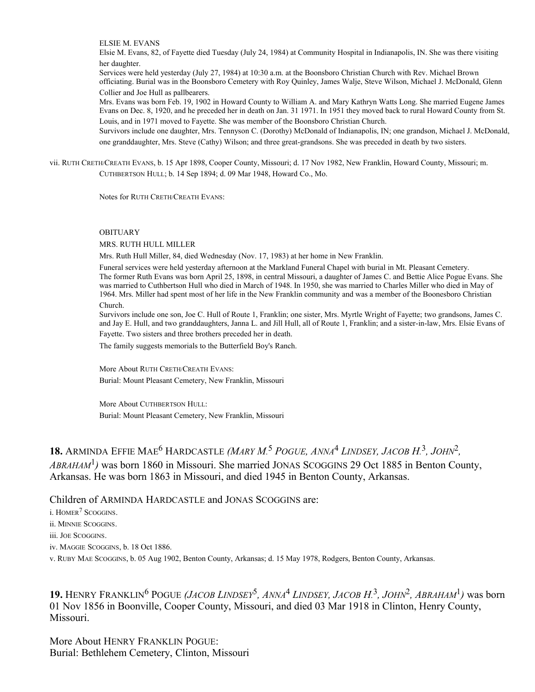ELSIE M. EVANS

Elsie M. Evans, 82, of Fayette died Tuesday (July 24, 1984) at Community Hospital in Indianapolis, IN. She was there visiting her daughter.

Services were held yesterday (July 27, 1984) at 10:30 a.m. at the Boonsboro Christian Church with Rev. Michael Brown officiating. Burial was in the Boonsboro Cemetery with Roy Quinley, James Walje, Steve Wilson, Michael J. McDonald, Glenn Collier and Joe Hull as pallbearers.

Mrs. Evans was born Feb. 19, 1902 in Howard County to William A. and Mary Kathryn Watts Long. She married Eugene James Evans on Dec. 8, 1920, and he preceded her in death on Jan. 31 1971. In 1951 they moved back to rural Howard County from St. Louis, and in 1971 moved to Fayette. She was member of the Boonsboro Christian Church.

Survivors include one daughter, Mrs. Tennyson C. (Dorothy) McDonald of Indianapolis, IN; one grandson, Michael J. McDonald, one granddaughter, Mrs. Steve (Cathy) Wilson; and three great-grandsons. She was preceded in death by two sisters.

vii. RUTH CRETH/CREATH EVANS, b. 15 Apr 1898, Cooper County, Missouri; d. 17 Nov 1982, New Franklin, Howard County, Missouri; m. CUTHBERTSON HULL; b. 14 Sep 1894; d. 09 Mar 1948, Howard Co., Mo.

Notes for RUTH CRETH/CREATH EVANS:

#### OBITUARY

MRS. RUTH HULL MILLER

Mrs. Ruth Hull Miller, 84, died Wednesday (Nov. 17, 1983) at her home in New Franklin.

Funeral services were held yesterday afternoon at the Markland Funeral Chapel with burial in Mt. Pleasant Cemetery. The former Ruth Evans was born April 25, 1898, in central Missouri, a daughter of James C. and Bettie Alice Pogue Evans. She was married to Cuthbertson Hull who died in March of 1948. In 1950, she was married to Charles Miller who died in May of 1964. Mrs. Miller had spent most of her life in the New Franklin community and was a member of the Boonesboro Christian Church.

Survivors include one son, Joe C. Hull of Route 1, Franklin; one sister, Mrs. Myrtle Wright of Fayette; two grandsons, James C. and Jay E. Hull, and two granddaughters, Janna L. and Jill Hull, all of Route 1, Franklin; and a sister-in-law, Mrs. Elsie Evans of

Fayette. Two sisters and three brothers preceded her in death.

The family suggests memorials to the Butterfield Boy's Ranch.

More About RUTH CRETH/CREATH EVANS: Burial: Mount Pleasant Cemetery, New Franklin, Missouri

More About CUTHBERTSON HULL: Burial: Mount Pleasant Cemetery, New Franklin, Missouri

18. ARMINDA EFFIE MAE<sup>6</sup> HARDCASTLE (MARY M.<sup>5</sup> POGUE, ANNA<sup>4</sup> LINDSEY, JACOB H.<sup>3</sup>, JOHN<sup>2</sup>, *ABRAHAM*<sup>1</sup> *)* was born 1860 in Missouri. She married JONAS SCOGGINS 29 Oct 1885 in Benton County, Arkansas. He was born 1863 in Missouri, and died 1945 in Benton County, Arkansas.

## Children of ARMINDA HARDCASTLE and JONAS SCOGGINS are:

i. HOMER<sup>7</sup> SCOGGINS.

ii. MINNIE SCOGGINS.

iii. JOE SCOGGINS.

iv. MAGGIE SCOGGINS, b. 18 Oct 1886.

v. RUBY MAE SCOGGINS, b. 05 Aug 1902, Benton County, Arkansas; d. 15 May 1978, Rodgers, Benton County, Arkansas.

**19.** HENRY FRANKLIN<sup>6</sup> POGUE (*JACOB LINDSEY*<sup>5</sup>, ANNA<sup>4</sup> LINDSEY, JACOB H.<sup>3</sup>, JOHN<sup>2</sup>, ABRAHAM<sup>1</sup>) was born 01 Nov 1856 in Boonville, Cooper County, Missouri, and died 03 Mar 1918 in Clinton, Henry County, Missouri.

More About HENRY FRANKLIN POGUE: Burial: Bethlehem Cemetery, Clinton, Missouri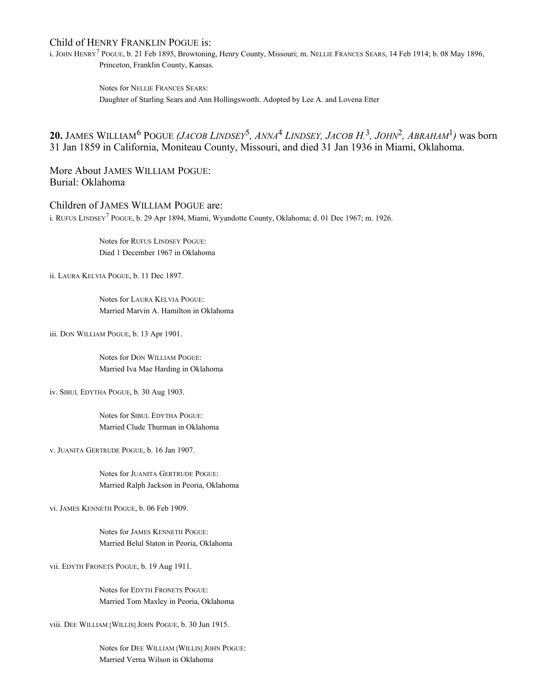#### Child of HENRY FRANKLIN POGUE is:

i. JOHN HENRY<sup>7</sup> POGUE, b. 21 Feb 1895, Browtoning, Henry County, Missouri; m. NELLIE FRANCES SEARS, 14 Feb 1914; b. 08 May 1896, Princeton, Franklin County, Kansas.

> Notes for NELLIE FRANCES SEARS: Daughter of Starling Sears and Ann Hollingsworth. Adopted by Lee A. and Lovena Etter

**20.** JAMES WILLIAM<sup>6</sup> POGUE *(JACOB LINDSEY<sup>5</sup>, ANNA<sup>4</sup> LINDSEY, JACOB H.<sup>3</sup>, <i>JOHN<sup>2</sup>, ABRAHAM<sup>1</sup>)* was born 31 Jan 1859 in California, Moniteau County, Missouri, and died 31 Jan 1936 in Miami, Oklahoma.

More About JAMES WILLIAM POGUE: Burial: Oklahoma

#### Children of JAMES WILLIAM POGUE are:

i. RUFUS LINDSEY<sup>7</sup> POGUE, b. 29 Apr 1894, Miami, Wyandotte County, Oklahoma; d. 01 Dec 1967; m. 1926.

Notes for RUFUS LINDSEY POGUE: Died 1 December 1967 in Oklahoma

ii. LAURA KELVIA POGUE, b. 11 Dec 1897.

Notes for LAURA KELVIA POGUE: Married Marvin A. Hamilton in Oklahoma

iii. DON WILLIAM POGUE, b. 13 Apr 1901.

Notes for DON WILLIAM POGUE: Married Iva Mae Harding in Oklahoma

iv. SIBUL EDYTHA POGUE, b. 30 Aug 1903.

Notes for SIBUL EDYTHA POGUE: Married Clude Thurman in Oklahoma

v. JUANITA GERTRUDE POGUE, b. 16 Jan 1907.

Notes for JUANITA GERTRUDE POGUE: Married Ralph Jackson in Peoria, Oklahoma

vi. JAMES KENNETH POGUE, b. 06 Feb 1909.

Notes for JAMES KENNETH POGUE: Married Belul Staton in Peoria, Oklahoma

vii. EDYTH FRONETS POGUE, b. 19 Aug 1911.

Notes for EDYTH FRONETS POGUE: Married Tom Maxley in Peoria, Oklahoma

viii. DEE WILLIAM [WILLIS] JOHN POGUE, b. 30 Jun 1915.

Notes for DEE WILLIAM [WILLIS] JOHN POGUE: Married Verna Wilson in Oklahoma